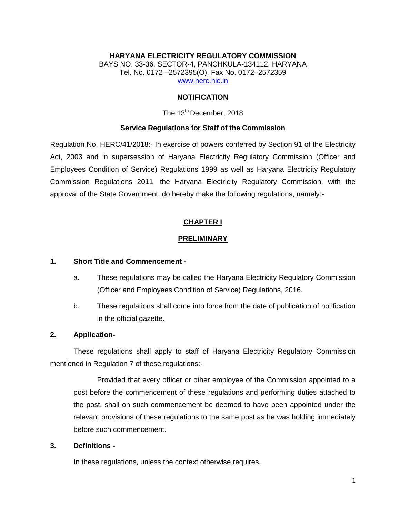## **HARYANA ELECTRICITY REGULATORY COMMISSION** BAYS NO. 33-36, SECTOR-4, PANCHKULA-134112, HARYANA Tel. No. 0172 –2572395(O), Fax No. 0172–2572359 [www.herc.nic.in](http://www.herc.nic.in/)

#### **NOTIFICATION**

## The 13<sup>th</sup> December, 2018

#### **Service Regulations for Staff of the Commission**

Regulation No. HERC/41/2018:- In exercise of powers conferred by Section 91 of the Electricity Act, 2003 and in supersession of Haryana Electricity Regulatory Commission (Officer and Employees Condition of Service) Regulations 1999 as well as Haryana Electricity Regulatory Commission Regulations 2011, the Haryana Electricity Regulatory Commission, with the approval of the State Government, do hereby make the following regulations, namely:-

#### **CHAPTER I**

#### **PRELIMINARY**

#### **1. Short Title and Commencement -**

- a. These regulations may be called the Haryana Electricity Regulatory Commission (Officer and Employees Condition of Service) Regulations, 2016.
- b. These regulations shall come into force from the date of publication of notification in the official gazette.

#### **2. Application-**

These regulations shall apply to staff of Haryana Electricity Regulatory Commission mentioned in Regulation 7 of these regulations:-

Provided that every officer or other employee of the Commission appointed to a post before the commencement of these regulations and performing duties attached to the post, shall on such commencement be deemed to have been appointed under the relevant provisions of these regulations to the same post as he was holding immediately before such commencement.

### **3. Definitions -**

In these regulations, unless the context otherwise requires,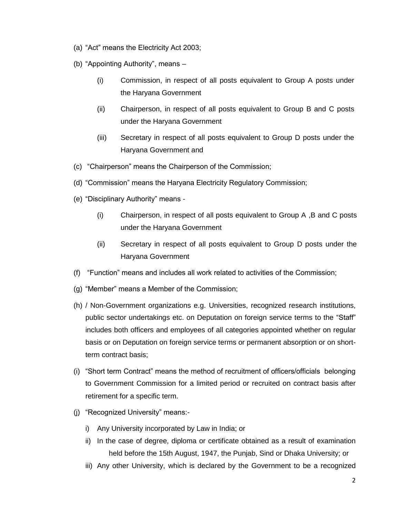- (a) "Act" means the Electricity Act 2003;
- (b) "Appointing Authority", means
	- (i) Commission, in respect of all posts equivalent to Group A posts under the Haryana Government
	- (ii) Chairperson, in respect of all posts equivalent to Group B and C posts under the Haryana Government
	- (iii) Secretary in respect of all posts equivalent to Group D posts under the Haryana Government and
- (c) "Chairperson" means the Chairperson of the Commission;
- (d) "Commission" means the Haryana Electricity Regulatory Commission;
- (e) "Disciplinary Authority" means
	- (i) Chairperson, in respect of all posts equivalent to Group A ,B and C posts under the Haryana Government
	- (ii) Secretary in respect of all posts equivalent to Group D posts under the Haryana Government
- (f) "Function" means and includes all work related to activities of the Commission;
- (g) "Member" means a Member of the Commission;
- (h) / Non-Government organizations e.g. Universities, recognized research institutions, public sector undertakings etc. on Deputation on foreign service terms to the "Staff" includes both officers and employees of all categories appointed whether on regular basis or on Deputation on foreign service terms or permanent absorption or on shortterm contract basis;
- (i) "Short term Contract" means the method of recruitment of officers/officials belonging to Government Commission for a limited period or recruited on contract basis after retirement for a specific term.
- (j) "Recognized University" means:
	- i) Any University incorporated by Law in India; or
	- ii) In the case of degree, diploma or certificate obtained as a result of examination held before the 15th August, 1947, the Punjab, Sind or Dhaka University; or
	- iii) Any other University, which is declared by the Government to be a recognized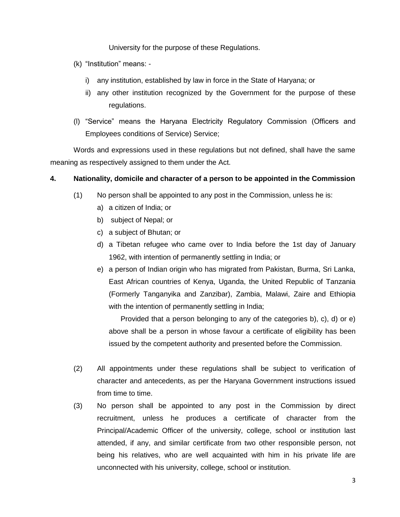University for the purpose of these Regulations.

- (k) "Institution" means:
	- i) any institution, established by law in force in the State of Haryana; or
	- ii) any other institution recognized by the Government for the purpose of these regulations.
- (l) "Service" means the Haryana Electricity Regulatory Commission (Officers and Employees conditions of Service) Service;

Words and expressions used in these regulations but not defined, shall have the same meaning as respectively assigned to them under the Act.

## **4. Nationality, domicile and character of a person to be appointed in the Commission**

- (1) No person shall be appointed to any post in the Commission, unless he is:
	- a) a citizen of India; or
	- b) subject of Nepal; or
	- c) a subject of Bhutan; or
	- d) a Tibetan refugee who came over to India before the 1st day of January 1962, with intention of permanently settling in India; or
	- e) a person of Indian origin who has migrated from Pakistan, Burma, Sri Lanka, East African countries of Kenya, Uganda, the United Republic of Tanzania (Formerly Tanganyika and Zanzibar), Zambia, Malawi, Zaire and Ethiopia with the intention of permanently settling in India;

Provided that a person belonging to any of the categories b), c), d) or e) above shall be a person in whose favour a certificate of eligibility has been issued by the competent authority and presented before the Commission.

- (2) All appointments under these regulations shall be subject to verification of character and antecedents, as per the Haryana Government instructions issued from time to time.
- (3) No person shall be appointed to any post in the Commission by direct recruitment, unless he produces a certificate of character from the Principal/Academic Officer of the university, college, school or institution last attended, if any, and similar certificate from two other responsible person, not being his relatives, who are well acquainted with him in his private life are unconnected with his university, college, school or institution.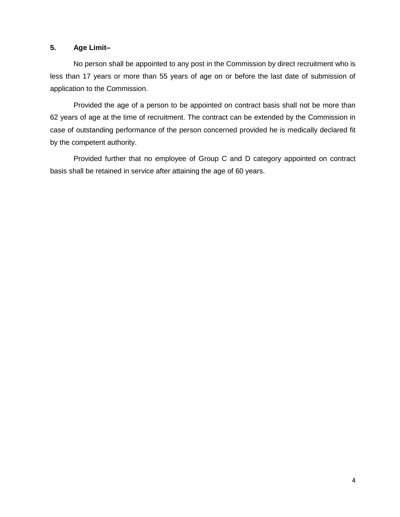## **5. Age Limit–**

No person shall be appointed to any post in the Commission by direct recruitment who is less than 17 years or more than 55 years of age on or before the last date of submission of application to the Commission.

Provided the age of a person to be appointed on contract basis shall not be more than 62 years of age at the time of recruitment. The contract can be extended by the Commission in case of outstanding performance of the person concerned provided he is medically declared fit by the competent authority.

Provided further that no employee of Group C and D category appointed on contract basis shall be retained in service after attaining the age of 60 years.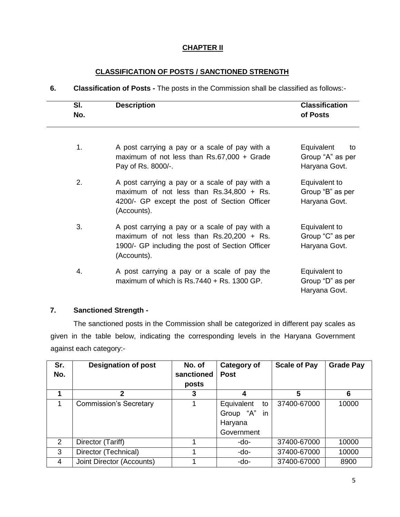# **CHAPTER II**

# **CLASSIFICATION OF POSTS / SANCTIONED STRENGTH**

**6. Classification of Posts -** The posts in the Commission shall be classified as follows:-

| SI.<br>No. | <b>Description</b>                                                                                                                                             | <b>Classification</b><br>of Posts                     |
|------------|----------------------------------------------------------------------------------------------------------------------------------------------------------------|-------------------------------------------------------|
| 1.         | A post carrying a pay or a scale of pay with a<br>maximum of not less than $Rs.67,000 + Grade$<br>Pay of Rs. 8000/-.                                           | Equivalent<br>to<br>Group "A" as per<br>Haryana Govt. |
| 2.         | A post carrying a pay or a scale of pay with a<br>maximum of not less than $Rs.34,800 + Rs.$<br>4200/- GP except the post of Section Officer<br>(Accounts).    | Equivalent to<br>Group "B" as per<br>Haryana Govt.    |
| 3.         | A post carrying a pay or a scale of pay with a<br>maximum of not less than $Rs.20,200 + Rs.$<br>1900/- GP including the post of Section Officer<br>(Accounts). | Equivalent to<br>Group "C" as per<br>Haryana Govt.    |
| 4.         | A post carrying a pay or a scale of pay the<br>maximum of which is $Rs.7440 + Rs.1300$ GP.                                                                     | Equivalent to<br>Group "D" as per<br>Haryana Govt.    |

# **7. Sanctioned Strength -**

The sanctioned posts in the Commission shall be categorized in different pay scales as given in the table below, indicating the corresponding levels in the Haryana Government against each category:-

| Sr.<br>No. | <b>Designation of post</b>    | No. of<br>sanctioned<br>posts | <b>Category of</b><br><b>Post</b>                         | <b>Scale of Pay</b> | <b>Grade Pay</b> |
|------------|-------------------------------|-------------------------------|-----------------------------------------------------------|---------------------|------------------|
|            | 2                             | 3                             | 4                                                         | 5                   | 6                |
|            | <b>Commission's Secretary</b> |                               | Equivalent<br>to<br>Group "A" in<br>Haryana<br>Government | 37400-67000         | 10000            |
| 2          | Director (Tariff)             |                               | -do-                                                      | 37400-67000         | 10000            |
| 3          | Director (Technical)          |                               | -do-                                                      | 37400-67000         | 10000            |
| 4          | Joint Director (Accounts)     |                               | -do-                                                      | 37400-67000         | 8900             |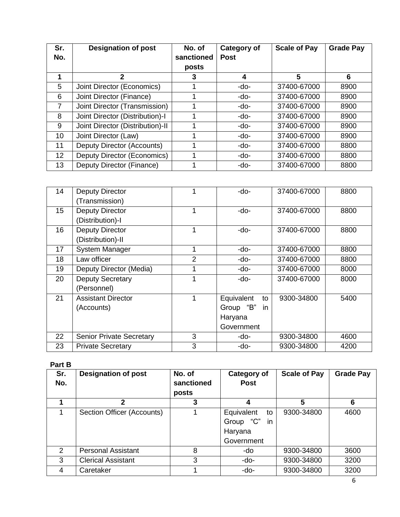| Sr.<br>No.      | <b>Designation of post</b>       | No. of<br>sanctioned<br>posts | <b>Category of</b><br><b>Post</b> | <b>Scale of Pay</b> | <b>Grade Pay</b> |
|-----------------|----------------------------------|-------------------------------|-----------------------------------|---------------------|------------------|
|                 | 2                                | 3                             | 4                                 | 5                   | 6                |
| 5               | Joint Director (Economics)       |                               | -do-                              | 37400-67000         | 8900             |
| 6               | Joint Director (Finance)         |                               | -do-                              | 37400-67000         | 8900             |
| $\overline{7}$  | Joint Director (Transmission)    |                               | -do-                              | 37400-67000         | 8900             |
| 8               | Joint Director (Distribution)-I  |                               | -do-                              | 37400-67000         | 8900             |
| 9               | Joint Director (Distribution)-II |                               | -do-                              | 37400-67000         | 8900             |
| 10 <sup>1</sup> | Joint Director (Law)             |                               | -do-                              | 37400-67000         | 8900             |
| 11              | Deputy Director (Accounts)       |                               | -do-                              | 37400-67000         | 8800             |
| 12 <sup>2</sup> | Deputy Director (Economics)      |                               | -do-                              | 37400-67000         | 8800             |
| 13              | Deputy Director (Finance)        |                               | -do-                              | 37400-67000         | 8800             |

| 14              | <b>Deputy Director</b>          |   | -do-             | 37400-67000 | 8800 |
|-----------------|---------------------------------|---|------------------|-------------|------|
|                 | (Transmission)                  |   |                  |             |      |
| 15 <sub>1</sub> | <b>Deputy Director</b>          | 1 | -do-             | 37400-67000 | 8800 |
|                 | (Distribution)-I                |   |                  |             |      |
| 16              | <b>Deputy Director</b>          | 1 | -do-             | 37400-67000 | 8800 |
|                 | (Distribution)-II               |   |                  |             |      |
| 17              | <b>System Manager</b>           |   | -do-             | 37400-67000 | 8800 |
| 18              | Law officer                     | 2 | -do-             | 37400-67000 | 8800 |
| 19              | Deputy Director (Media)         |   | -do-             | 37400-67000 | 8000 |
| 20              | <b>Deputy Secretary</b>         |   | -do-             | 37400-67000 | 8000 |
|                 | (Personnel)                     |   |                  |             |      |
| 21              | <b>Assistant Director</b>       |   | Equivalent<br>to | 9300-34800  | 5400 |
|                 | (Accounts)                      |   | Group "B"<br>in  |             |      |
|                 |                                 |   | Haryana          |             |      |
|                 |                                 |   | Government       |             |      |
| 22              | <b>Senior Private Secretary</b> | 3 | -do-             | 9300-34800  | 4600 |
| 23              | <b>Private Secretary</b>        | 3 | -do-             | 9300-34800  | 4200 |

# **Part B**

| Sr.<br>No. | <b>Designation of post</b> | No. of<br>sanctioned<br>posts | <b>Category of</b><br><b>Post</b>                            | <b>Scale of Pay</b> | <b>Grade Pay</b> |
|------------|----------------------------|-------------------------------|--------------------------------------------------------------|---------------------|------------------|
|            | $\mathbf{2}$               | 3                             | 4                                                            | 5                   | 6                |
|            | Section Officer (Accounts) |                               | Equivalent<br>to<br>Group "C"<br>in<br>Haryana<br>Government | 9300-34800          | 4600             |
| 2          | <b>Personal Assistant</b>  | 8                             | -do                                                          | 9300-34800          | 3600             |
| 3          | <b>Clerical Assistant</b>  | 3                             | -do-                                                         | 9300-34800          | 3200             |
| 4          | Caretaker                  |                               | -do-                                                         | 9300-34800          | 3200             |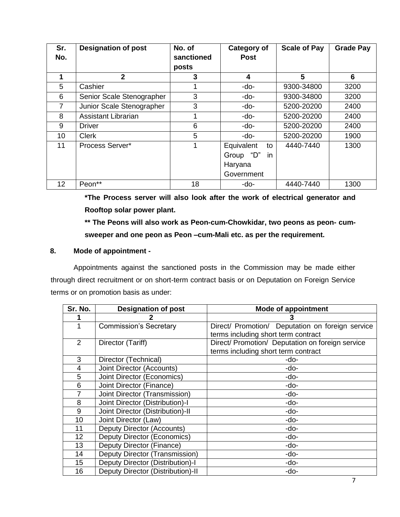| Sr. | <b>Designation of post</b> | No. of     | <b>Category of</b> | <b>Scale of Pay</b> | <b>Grade Pay</b> |
|-----|----------------------------|------------|--------------------|---------------------|------------------|
| No. |                            | sanctioned | <b>Post</b>        |                     |                  |
|     |                            | posts      |                    |                     |                  |
|     | $\overline{2}$             | 3          | 4                  | 5                   | 6                |
| 5   | Cashier                    |            | -do-               | 9300-34800          | 3200             |
| 6   | Senior Scale Stenographer  | 3          | -do-               | 9300-34800          | 3200             |
| 7   | Junior Scale Stenographer  | 3          | -do-               | 5200-20200          | 2400             |
| 8   | <b>Assistant Librarian</b> |            | -do-               | 5200-20200          | 2400             |
| 9   | <b>Driver</b>              | 6          | -do-               | 5200-20200          | 2400             |
| 10  | <b>Clerk</b>               | 5          | -do-               | 5200-20200          | 1900             |
| 11  | Process Server*            | 1          | Equivalent<br>to   | 4440-7440           | 1300             |
|     |                            |            | Group "D"<br>in.   |                     |                  |
|     |                            |            | Haryana            |                     |                  |
|     |                            |            | Government         |                     |                  |
| 12  | Peon**                     | 18         | -do-               | 4440-7440           | 1300             |

**\*The Process server will also look after the work of electrical generator and Rooftop solar power plant.** 

**\*\* The Peons will also work as Peon-cum-Chowkidar, two peons as peon- cumsweeper and one peon as Peon –cum-Mali etc. as per the requirement.** 

## **8. Mode of appointment -**

Appointments against the sanctioned posts in the Commission may be made either through direct recruitment or on short-term contract basis or on Deputation on Foreign Service terms or on promotion basis as under:

| Sr. No.        | <b>Designation of post</b>        | <b>Mode of appointment</b>                       |
|----------------|-----------------------------------|--------------------------------------------------|
|                |                                   |                                                  |
|                | <b>Commission's Secretary</b>     | Direct/ Promotion/ Deputation on foreign service |
|                |                                   | terms including short term contract              |
| $\overline{2}$ | Director (Tariff)                 | Direct/ Promotion/ Deputation on foreign service |
|                |                                   | terms including short term contract              |
| 3              | Director (Technical)              | -do-                                             |
| 4              | Joint Director (Accounts)         | -do-                                             |
| 5              | Joint Director (Economics)        | -do-                                             |
| 6              | Joint Director (Finance)          | -do-                                             |
| 7              | Joint Director (Transmission)     | -do-                                             |
| 8              | Joint Director (Distribution)-I   | -do-                                             |
| 9              | Joint Director (Distribution)-II  | -do-                                             |
| 10             | Joint Director (Law)              | -do-                                             |
| 11             | Deputy Director (Accounts)        | -do-                                             |
| 12             | Deputy Director (Economics)       | -do-                                             |
| 13             | Deputy Director (Finance)         | -do-                                             |
| 14             | Deputy Director (Transmission)    | -do-                                             |
| 15             | Deputy Director (Distribution)-I  | -do-                                             |
| 16             | Deputy Director (Distribution)-II | -do-                                             |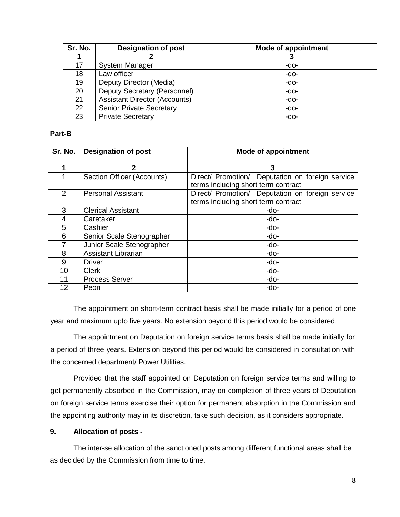| Sr. No. | <b>Designation of post</b>           | Mode of appointment |
|---------|--------------------------------------|---------------------|
|         |                                      | J                   |
| 17      | <b>System Manager</b>                | -do-                |
| 18      | Law officer                          | $-do-$              |
| 19      | Deputy Director (Media)              | $-do-$              |
| 20      | Deputy Secretary (Personnel)         | $-do-$              |
| 21      | <b>Assistant Director (Accounts)</b> | $-do-$              |
| 22      | <b>Senior Private Secretary</b>      | $-do-$              |
| 23      | <b>Private Secretary</b>             | -do-                |

#### **Part-B**

| Sr. No.       | <b>Designation of post</b> | <b>Mode of appointment</b>                                                              |  |  |
|---------------|----------------------------|-----------------------------------------------------------------------------------------|--|--|
|               | $\mathbf{2}$               | 3                                                                                       |  |  |
|               | Section Officer (Accounts) | Direct/ Promotion/ Deputation on foreign service<br>terms including short term contract |  |  |
| $\mathcal{P}$ | <b>Personal Assistant</b>  | Direct/ Promotion/ Deputation on foreign service<br>terms including short term contract |  |  |
| 3             | <b>Clerical Assistant</b>  | -do-                                                                                    |  |  |
| 4             | Caretaker                  | -do-                                                                                    |  |  |
| 5             | Cashier                    | -do-                                                                                    |  |  |
| 6             | Senior Scale Stenographer  | -do-                                                                                    |  |  |
|               | Junior Scale Stenographer  | -do-                                                                                    |  |  |
| 8             | <b>Assistant Librarian</b> | -do-                                                                                    |  |  |
| 9             | <b>Driver</b>              | -do-                                                                                    |  |  |
| 10            | <b>Clerk</b>               | -do-                                                                                    |  |  |
| 11            | <b>Process Server</b>      | -do-                                                                                    |  |  |
| 12            | Peon                       | -do-                                                                                    |  |  |

The appointment on short-term contract basis shall be made initially for a period of one year and maximum upto five years. No extension beyond this period would be considered.

The appointment on Deputation on foreign service terms basis shall be made initially for a period of three years. Extension beyond this period would be considered in consultation with the concerned department/ Power Utilities.

Provided that the staff appointed on Deputation on foreign service terms and willing to get permanently absorbed in the Commission, may on completion of three years of Deputation on foreign service terms exercise their option for permanent absorption in the Commission and the appointing authority may in its discretion, take such decision, as it considers appropriate.

## **9. Allocation of posts -**

The inter-se allocation of the sanctioned posts among different functional areas shall be as decided by the Commission from time to time.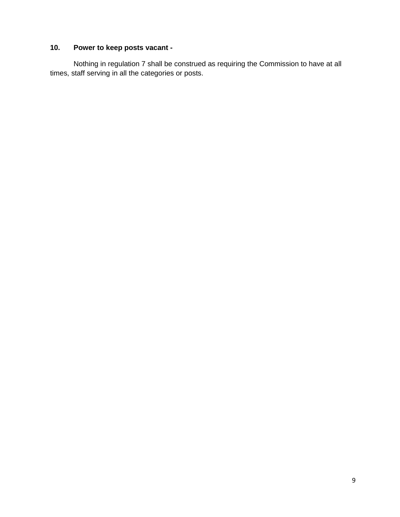# **10. Power to keep posts vacant -**

Nothing in regulation 7 shall be construed as requiring the Commission to have at all times, staff serving in all the categories or posts.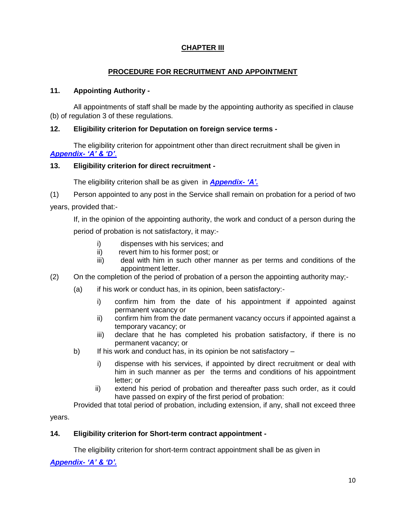# **CHAPTER III**

# **PROCEDURE FOR RECRUITMENT AND APPOINTMENT**

## **11. Appointing Authority -**

All appointments of staff shall be made by the appointing authority as specified in clause (b) of regulation 3 of these regulations.

## **12. Eligibility criterion for Deputation on foreign service terms -**

The eligibility criterion for appointment other than direct recruitment shall be given in *Appendix- 'A' & 'D'*.

## **13. Eligibility criterion for direct recruitment -**

The eligibility criterion shall be as given in *Appendix- 'A'.*

(1) Person appointed to any post in the Service shall remain on probation for a period of two years, provided that:-

If, in the opinion of the appointing authority, the work and conduct of a person during the period of probation is not satisfactory, it may:-

- i) dispenses with his services; and
- ii) revert him to his former post; or
- iii) deal with him in such other manner as per terms and conditions of the appointment letter.
- (2) On the completion of the period of probation of a person the appointing authority may;-
	- (a) if his work or conduct has, in its opinion, been satisfactory:
		- i) confirm him from the date of his appointment if appointed against permanent vacancy or
		- ii) confirm him from the date permanent vacancy occurs if appointed against a temporary vacancy; or
		- iii) declare that he has completed his probation satisfactory, if there is no permanent vacancy; or
	- b) If his work and conduct has, in its opinion be not satisfactory
		- i) dispense with his services, if appointed by direct recruitment or deal with him in such manner as per the terms and conditions of his appointment letter; or
		- ii) extend his period of probation and thereafter pass such order, as it could have passed on expiry of the first period of probation:

Provided that total period of probation, including extension, if any, shall not exceed three

years.

# **14. Eligibility criterion for Short-term contract appointment -**

The eligibility criterion for short-term contract appointment shall be as given in

*Appendix- 'A' & 'D'.*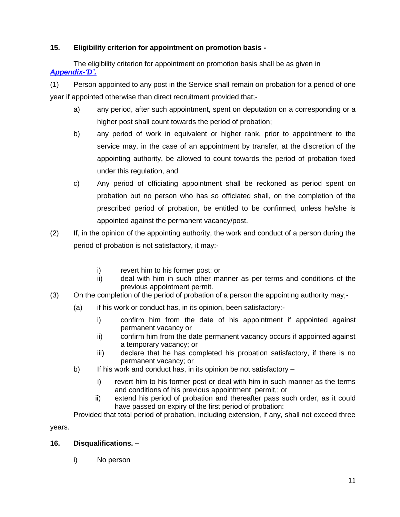# **15. Eligibility criterion for appointment on promotion basis -**

The eligibility criterion for appointment on promotion basis shall be as given in *Appendix-'D'.*

(1) Person appointed to any post in the Service shall remain on probation for a period of one year if appointed otherwise than direct recruitment provided that;-

- a) any period, after such appointment, spent on deputation on a corresponding or a higher post shall count towards the period of probation;
- b) any period of work in equivalent or higher rank, prior to appointment to the service may, in the case of an appointment by transfer, at the discretion of the appointing authority, be allowed to count towards the period of probation fixed under this regulation, and
- c) Any period of officiating appointment shall be reckoned as period spent on probation but no person who has so officiated shall, on the completion of the prescribed period of probation, be entitled to be confirmed, unless he/she is appointed against the permanent vacancy/post.
- (2) If, in the opinion of the appointing authority, the work and conduct of a person during the period of probation is not satisfactory, it may:
	- i) revert him to his former post; or
	- ii) deal with him in such other manner as per terms and conditions of the previous appointment permit.
- (3) On the completion of the period of probation of a person the appointing authority may;-
	- (a) if his work or conduct has, in its opinion, been satisfactory:
		- i) confirm him from the date of his appointment if appointed against permanent vacancy or
		- ii) confirm him from the date permanent vacancy occurs if appointed against a temporary vacancy; or
		- iii) declare that he has completed his probation satisfactory, if there is no permanent vacancy; or
	- b) If his work and conduct has, in its opinion be not satisfactory
		- i) revert him to his former post or deal with him in such manner as the terms and conditions of his previous appointment permit,; or
		- ii) extend his period of probation and thereafter pass such order, as it could have passed on expiry of the first period of probation:

Provided that total period of probation, including extension, if any, shall not exceed three

years.

# **16. Disqualifications. –**

i) No person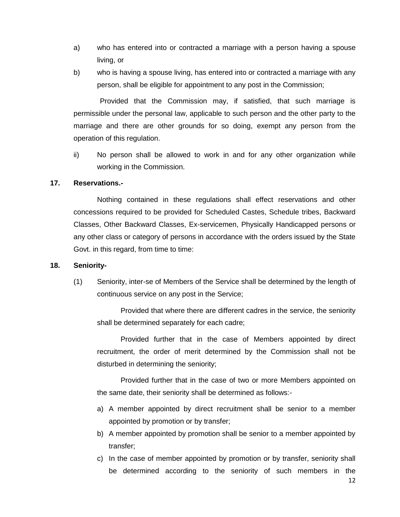- a) who has entered into or contracted a marriage with a person having a spouse living, or
- b) who is having a spouse living, has entered into or contracted a marriage with any person, shall be eligible for appointment to any post in the Commission;

Provided that the Commission may, if satisfied, that such marriage is permissible under the personal law, applicable to such person and the other party to the marriage and there are other grounds for so doing, exempt any person from the operation of this regulation.

ii) No person shall be allowed to work in and for any other organization while working in the Commission.

## **17. Reservations.-**

Nothing contained in these regulations shall effect reservations and other concessions required to be provided for Scheduled Castes, Schedule tribes, Backward Classes, Other Backward Classes, Ex-servicemen, Physically Handicapped persons or any other class or category of persons in accordance with the orders issued by the State Govt. in this regard, from time to time:

#### **18. Seniority-**

(1) Seniority, inter-se of Members of the Service shall be determined by the length of continuous service on any post in the Service;

Provided that where there are different cadres in the service, the seniority shall be determined separately for each cadre;

Provided further that in the case of Members appointed by direct recruitment, the order of merit determined by the Commission shall not be disturbed in determining the seniority;

Provided further that in the case of two or more Members appointed on the same date, their seniority shall be determined as follows:-

- a) A member appointed by direct recruitment shall be senior to a member appointed by promotion or by transfer;
- b) A member appointed by promotion shall be senior to a member appointed by transfer;
- c) In the case of member appointed by promotion or by transfer, seniority shall be determined according to the seniority of such members in the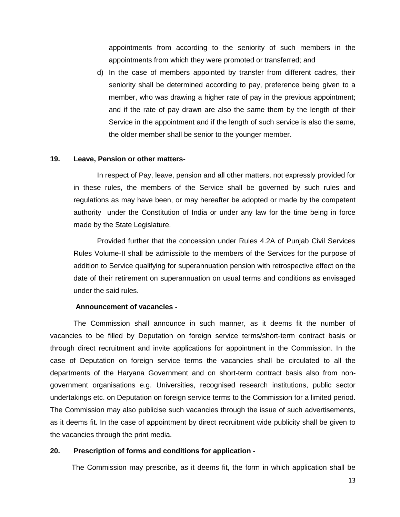appointments from according to the seniority of such members in the appointments from which they were promoted or transferred; and

d) In the case of members appointed by transfer from different cadres, their seniority shall be determined according to pay, preference being given to a member, who was drawing a higher rate of pay in the previous appointment; and if the rate of pay drawn are also the same them by the length of their Service in the appointment and if the length of such service is also the same, the older member shall be senior to the younger member.

#### **19. Leave, Pension or other matters-**

In respect of Pay, leave, pension and all other matters, not expressly provided for in these rules, the members of the Service shall be governed by such rules and regulations as may have been, or may hereafter be adopted or made by the competent authority under the Constitution of India or under any law for the time being in force made by the State Legislature.

Provided further that the concession under Rules 4.2A of Punjab Civil Services Rules Volume-II shall be admissible to the members of the Services for the purpose of addition to Service qualifying for superannuation pension with retrospective effect on the date of their retirement on superannuation on usual terms and conditions as envisaged under the said rules.

#### **Announcement of vacancies -**

The Commission shall announce in such manner, as it deems fit the number of vacancies to be filled by Deputation on foreign service terms/short-term contract basis or through direct recruitment and invite applications for appointment in the Commission. In the case of Deputation on foreign service terms the vacancies shall be circulated to all the departments of the Haryana Government and on short-term contract basis also from nongovernment organisations e.g. Universities, recognised research institutions, public sector undertakings etc. on Deputation on foreign service terms to the Commission for a limited period. The Commission may also publicise such vacancies through the issue of such advertisements, as it deems fit. In the case of appointment by direct recruitment wide publicity shall be given to the vacancies through the print media.

#### **20. Prescription of forms and conditions for application -**

The Commission may prescribe, as it deems fit, the form in which application shall be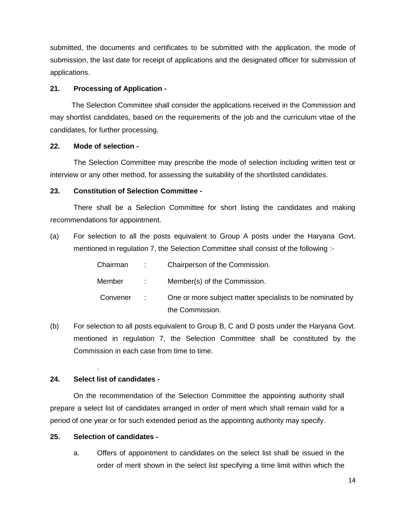submitted, the documents and certificates to be submitted with the application, the mode of submission, the last date for receipt of applications and the designated officer for submission of applications.

#### **21. Processing of Application -**

The Selection Committee shall consider the applications received in the Commission and may shortlist candidates, based on the requirements of the job and the curriculum vitae of the candidates, for further processing.

#### **22. Mode of selection -**

The Selection Committee may prescribe the mode of selection including written test or interview or any other method, for assessing the suitability of the shortlisted candidates.

## **23. Constitution of Selection Committee -**

There shall be a Selection Committee for short listing the candidates and making recommendations for appointment.

(a) For selection to all the posts equivalent to Group A posts under the Haryana Govt. mentioned in regulation 7, the Selection Committee shall consist of the following :-

| Chairman | <b>COMPANY</b>           | Chairperson of the Commission.                            |
|----------|--------------------------|-----------------------------------------------------------|
| Member   | $\sim 1000$ km s $^{-1}$ | Member(s) of the Commission.                              |
| Convener | <b>Contractor</b>        | One or more subject matter specialists to be nominated by |
|          |                          | the Commission.                                           |

(b) For selection to all posts equivalent to Group B, C and D posts under the Haryana Govt. mentioned in regulation 7, the Selection Committee shall be constituted by the Commission in each case from time to time.

## **24. Select list of candidates -**

.

On the recommendation of the Selection Committee the appointing authority shall prepare a select list of candidates arranged in order of merit which shall remain valid for a period of one year or for such extended period as the appointing authority may specify.

## **25. Selection of candidates -**

a. Offers of appointment to candidates on the select list shall be issued in the order of merit shown in the select list specifying a time limit within which the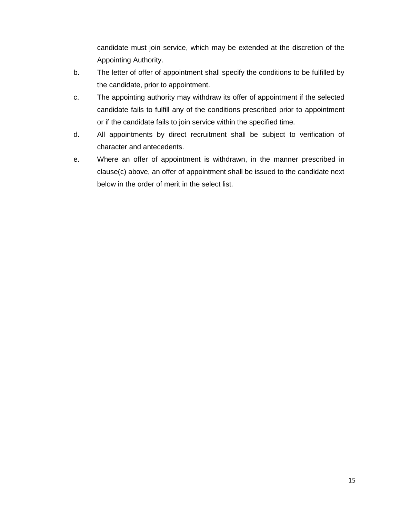candidate must join service, which may be extended at the discretion of the Appointing Authority.

- b. The letter of offer of appointment shall specify the conditions to be fulfilled by the candidate, prior to appointment.
- c. The appointing authority may withdraw its offer of appointment if the selected candidate fails to fulfill any of the conditions prescribed prior to appointment or if the candidate fails to join service within the specified time.
- d. All appointments by direct recruitment shall be subject to verification of character and antecedents.
- e. Where an offer of appointment is withdrawn, in the manner prescribed in clause(c) above, an offer of appointment shall be issued to the candidate next below in the order of merit in the select list.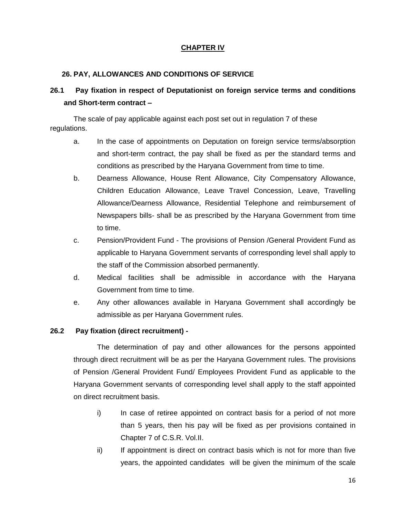# **CHAPTER IV**

### **26. PAY, ALLOWANCES AND CONDITIONS OF SERVICE**

# **26.1 Pay fixation in respect of Deputationist on foreign service terms and conditions and Short-term contract –**

The scale of pay applicable against each post set out in regulation 7 of these regulations.

- a. In the case of appointments on Deputation on foreign service terms/absorption and short-term contract, the pay shall be fixed as per the standard terms and conditions as prescribed by the Haryana Government from time to time.
- b. Dearness Allowance, House Rent Allowance, City Compensatory Allowance, Children Education Allowance, Leave Travel Concession, Leave, Travelling Allowance/Dearness Allowance, Residential Telephone and reimbursement of Newspapers bills- shall be as prescribed by the Haryana Government from time to time.
- c. Pension/Provident Fund The provisions of Pension /General Provident Fund as applicable to Haryana Government servants of corresponding level shall apply to the staff of the Commission absorbed permanently.
- d. Medical facilities shall be admissible in accordance with the Haryana Government from time to time.
- e. Any other allowances available in Haryana Government shall accordingly be admissible as per Haryana Government rules.

## **26.2 Pay fixation (direct recruitment) -**

The determination of pay and other allowances for the persons appointed through direct recruitment will be as per the Haryana Government rules. The provisions of Pension /General Provident Fund/ Employees Provident Fund as applicable to the Haryana Government servants of corresponding level shall apply to the staff appointed on direct recruitment basis.

- i) In case of retiree appointed on contract basis for a period of not more than 5 years, then his pay will be fixed as per provisions contained in Chapter 7 of C.S.R. Vol.II.
- ii) If appointment is direct on contract basis which is not for more than five years, the appointed candidates will be given the minimum of the scale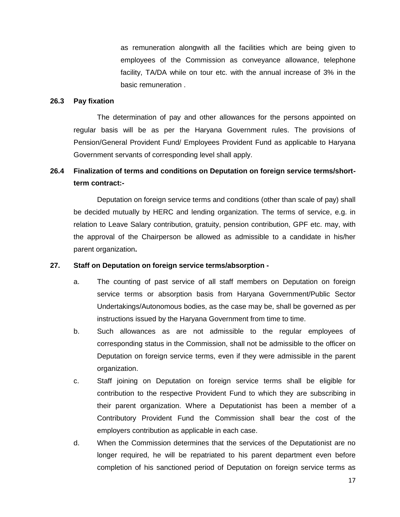as remuneration alongwith all the facilities which are being given to employees of the Commission as conveyance allowance, telephone facility, TA/DA while on tour etc. with the annual increase of 3% in the basic remuneration .

#### **26.3 Pay fixation**

The determination of pay and other allowances for the persons appointed on regular basis will be as per the Haryana Government rules. The provisions of Pension/General Provident Fund/ Employees Provident Fund as applicable to Haryana Government servants of corresponding level shall apply.

# **26.4 Finalization of terms and conditions on Deputation on foreign service terms/shortterm contract:-**

Deputation on foreign service terms and conditions (other than scale of pay) shall be decided mutually by HERC and lending organization. The terms of service, e.g. in relation to Leave Salary contribution, gratuity, pension contribution, GPF etc. may, with the approval of the Chairperson be allowed as admissible to a candidate in his/her parent organization**.**

## **27. Staff on Deputation on foreign service terms/absorption -**

- a. The counting of past service of all staff members on Deputation on foreign service terms or absorption basis from Haryana Government/Public Sector Undertakings/Autonomous bodies, as the case may be, shall be governed as per instructions issued by the Haryana Government from time to time.
- b. Such allowances as are not admissible to the regular employees of corresponding status in the Commission, shall not be admissible to the officer on Deputation on foreign service terms, even if they were admissible in the parent organization.
- c. Staff joining on Deputation on foreign service terms shall be eligible for contribution to the respective Provident Fund to which they are subscribing in their parent organization. Where a Deputationist has been a member of a Contributory Provident Fund the Commission shall bear the cost of the employers contribution as applicable in each case.
- d. When the Commission determines that the services of the Deputationist are no longer required, he will be repatriated to his parent department even before completion of his sanctioned period of Deputation on foreign service terms as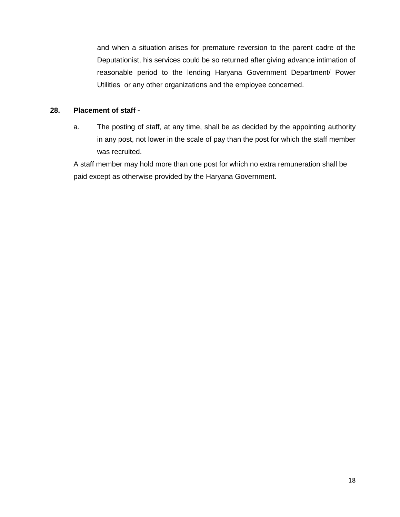and when a situation arises for premature reversion to the parent cadre of the Deputationist, his services could be so returned after giving advance intimation of reasonable period to the lending Haryana Government Department/ Power Utilities or any other organizations and the employee concerned.

## **28. Placement of staff -**

a. The posting of staff, at any time, shall be as decided by the appointing authority in any post, not lower in the scale of pay than the post for which the staff member was recruited.

A staff member may hold more than one post for which no extra remuneration shall be paid except as otherwise provided by the Haryana Government.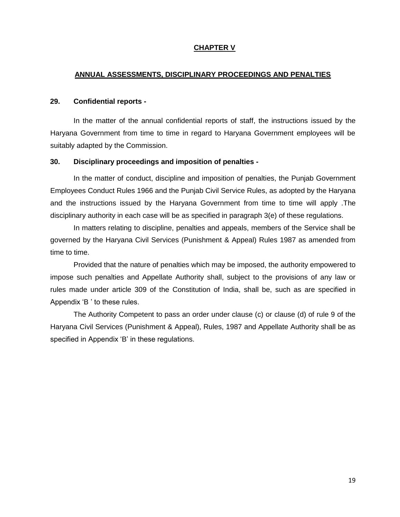### **CHAPTER V**

#### **ANNUAL ASSESSMENTS, DISCIPLINARY PROCEEDINGS AND PENALTIES**

#### **29. Confidential reports -**

In the matter of the annual confidential reports of staff, the instructions issued by the Haryana Government from time to time in regard to Haryana Government employees will be suitably adapted by the Commission.

#### **30. Disciplinary proceedings and imposition of penalties -**

In the matter of conduct, discipline and imposition of penalties, the Punjab Government Employees Conduct Rules 1966 and the Punjab Civil Service Rules, as adopted by the Haryana and the instructions issued by the Haryana Government from time to time will apply .The disciplinary authority in each case will be as specified in paragraph 3(e) of these regulations.

In matters relating to discipline, penalties and appeals, members of the Service shall be governed by the Haryana Civil Services (Punishment & Appeal) Rules 1987 as amended from time to time.

Provided that the nature of penalties which may be imposed, the authority empowered to impose such penalties and Appellate Authority shall, subject to the provisions of any law or rules made under article 309 of the Constitution of India, shall be, such as are specified in Appendix 'B ' to these rules.

The Authority Competent to pass an order under clause (c) or clause (d) of rule 9 of the Haryana Civil Services (Punishment & Appeal), Rules, 1987 and Appellate Authority shall be as specified in Appendix 'B' in these regulations.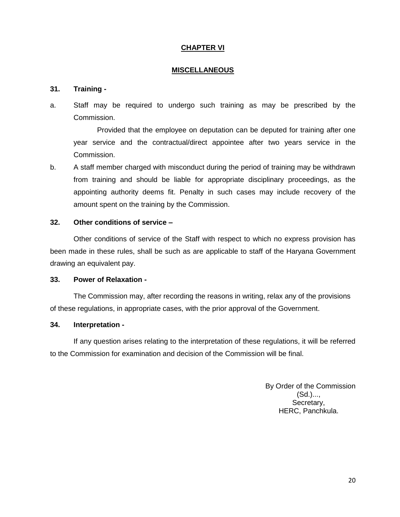### **CHAPTER VI**

#### **MISCELLANEOUS**

#### **31. Training -**

a. Staff may be required to undergo such training as may be prescribed by the Commission.

Provided that the employee on deputation can be deputed for training after one year service and the contractual/direct appointee after two years service in the Commission.

b. A staff member charged with misconduct during the period of training may be withdrawn from training and should be liable for appropriate disciplinary proceedings, as the appointing authority deems fit. Penalty in such cases may include recovery of the amount spent on the training by the Commission.

#### **32. Other conditions of service –**

Other conditions of service of the Staff with respect to which no express provision has been made in these rules, shall be such as are applicable to staff of the Haryana Government drawing an equivalent pay.

#### **33. Power of Relaxation -**

The Commission may, after recording the reasons in writing, relax any of the provisions of these regulations, in appropriate cases, with the prior approval of the Government.

### **34. Interpretation -**

If any question arises relating to the interpretation of these regulations, it will be referred to the Commission for examination and decision of the Commission will be final.

> By Order of the Commission (Sd.)..., Secretary, HERC, Panchkula.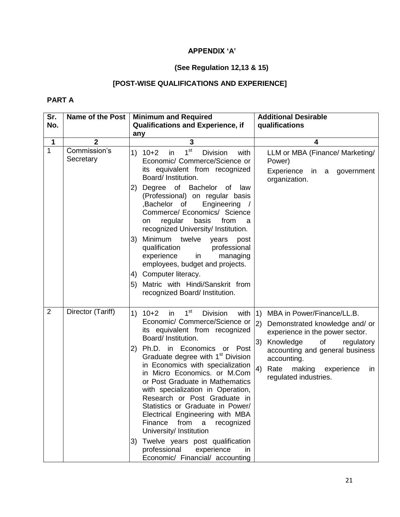# **APPENDIX 'A'**

# **(See Regulation 12,13 & 15)**

# **[POST-WISE QUALIFICATIONS AND EXPERIENCE]**

# **PART A**

| Sr.            | <b>Name of the Post</b>   | <b>Minimum and Required</b>                                                                                                                                                                                                                                                                                                                                                                                                                                                                                                                                         | <b>Additional Desirable</b>                                                                                                                                                                                                                                             |
|----------------|---------------------------|---------------------------------------------------------------------------------------------------------------------------------------------------------------------------------------------------------------------------------------------------------------------------------------------------------------------------------------------------------------------------------------------------------------------------------------------------------------------------------------------------------------------------------------------------------------------|-------------------------------------------------------------------------------------------------------------------------------------------------------------------------------------------------------------------------------------------------------------------------|
| No.            |                           | <b>Qualifications and Experience, if</b>                                                                                                                                                                                                                                                                                                                                                                                                                                                                                                                            | qualifications                                                                                                                                                                                                                                                          |
|                |                           | any                                                                                                                                                                                                                                                                                                                                                                                                                                                                                                                                                                 |                                                                                                                                                                                                                                                                         |
| 1              | $\overline{2}$            | 3                                                                                                                                                                                                                                                                                                                                                                                                                                                                                                                                                                   | 4                                                                                                                                                                                                                                                                       |
| $\mathbf{1}$   | Commission's<br>Secretary | 1 <sup>st</sup><br>1)<br><b>Division</b><br>$10+2$<br>with<br>in<br>Economic/ Commerce/Science or<br>its equivalent from recognized<br>Board/ Institution.                                                                                                                                                                                                                                                                                                                                                                                                          | LLM or MBA (Finance/ Marketing/<br>Power)<br>Experience in a government<br>organization.                                                                                                                                                                                |
|                |                           | Degree of Bachelor of<br>2)<br>law<br>(Professional) on regular basis<br>,Bachelor of<br>Engineering<br>Commerce/ Economics/ Science<br>basis<br>regular<br>from<br>on<br>a<br>recognized University/ Institution.                                                                                                                                                                                                                                                                                                                                                  |                                                                                                                                                                                                                                                                         |
|                |                           | Minimum twelve<br>3)<br>years<br>post<br>qualification professional<br>experience<br>in<br>managing<br>employees, budget and projects.                                                                                                                                                                                                                                                                                                                                                                                                                              |                                                                                                                                                                                                                                                                         |
|                |                           | 4) Computer literacy.                                                                                                                                                                                                                                                                                                                                                                                                                                                                                                                                               |                                                                                                                                                                                                                                                                         |
|                |                           | Matric with Hindi/Sanskrit from<br>5)<br>recognized Board/ Institution.                                                                                                                                                                                                                                                                                                                                                                                                                                                                                             |                                                                                                                                                                                                                                                                         |
| $\overline{2}$ | Director (Tariff)         | 1 <sup>st</sup><br>1)<br>$10+2$<br><b>Division</b><br>with<br>in<br>Economic/ Commerce/Science or<br>its equivalent from recognized<br>Board/ Institution.<br>Ph.D. in Economics or Post<br>2)<br>Graduate degree with 1 <sup>st</sup> Division<br>in Economics with specialization<br>in Micro Economics. or M.Com<br>or Post Graduate in Mathematics<br>with specialization in Operation,<br>Research or Post Graduate in<br>Statistics or Graduate in Power/<br>Electrical Engineering with MBA<br>from<br>Finance<br>recognized<br>a<br>University/ Institution | (1)<br>MBA in Power/Finance/LL.B.<br>2)<br>Demonstrated knowledge and/ or<br>experience in the power sector.<br>3)<br>of<br>Knowledge<br>regulatory<br>accounting and general business<br>accounting.<br>4)<br>Rate<br>making experience<br>in<br>regulated industries. |
|                |                           | Twelve years post qualification<br>3)<br>professional<br>experience<br>in.<br>Economic/ Financial/ accounting                                                                                                                                                                                                                                                                                                                                                                                                                                                       |                                                                                                                                                                                                                                                                         |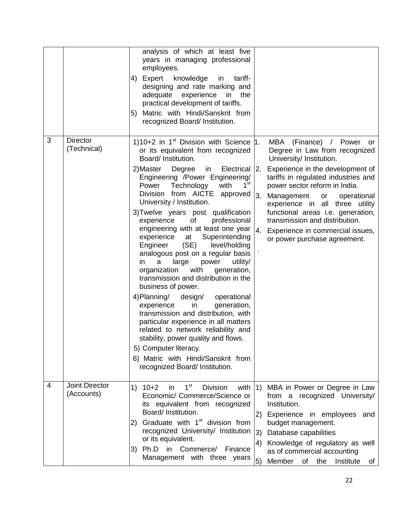|   |                                | analysis of which at least five<br>years in managing professional<br>employees.<br>4) Expert knowledge<br>tariff-<br>in<br>designing and rate marking and<br>adequate experience<br>the<br>in<br>practical development of tariffs.<br>Matric with Hindi/Sanskrit from<br>5)<br>recognized Board/ Institution.                                                                                                                                                                                                                                                                                                                                                                                                                                                                                                                                                                                                                                                                                                                                     |                                                                                                                                                                                                                                                                                                                                                                                                                           |
|---|--------------------------------|---------------------------------------------------------------------------------------------------------------------------------------------------------------------------------------------------------------------------------------------------------------------------------------------------------------------------------------------------------------------------------------------------------------------------------------------------------------------------------------------------------------------------------------------------------------------------------------------------------------------------------------------------------------------------------------------------------------------------------------------------------------------------------------------------------------------------------------------------------------------------------------------------------------------------------------------------------------------------------------------------------------------------------------------------|---------------------------------------------------------------------------------------------------------------------------------------------------------------------------------------------------------------------------------------------------------------------------------------------------------------------------------------------------------------------------------------------------------------------------|
| 3 | <b>Director</b><br>(Technical) | 1)10+2 in 1 <sup>st</sup> Division with Science 1.<br>or its equivalent from recognized<br>Board/ Institution.<br>2) Master<br>Degree<br>Electrical   2.<br>in<br>Engineering /Power Engineering/<br>1 <sup>st</sup><br>Power Technology with<br>Division from AICTE approved $ 3 $ .<br>University / Institution.<br>3) Twelve years post qualification<br>of the control<br>professional<br>experience<br>engineering with at least one year<br>Superintending<br>experience at<br>(SE)<br>Engineer<br>level/holding<br>analogous post on a regular basis<br>large<br>power<br>a<br>utility/<br>in.<br>with<br>generation,<br>organization<br>transmission and distribution in the<br>business of power.<br>4) Planning/ design/<br>operational<br>experience<br>generation,<br>in<br>transmission and distribution, with<br>particular experience in all matters<br>related to network reliability and<br>stability, power quality and flows.<br>5) Computer literacy.<br>6) Matric with Hindi/Sanskrit from<br>recognized Board/ Institution. | MBA (Finance) / Power or<br>Degree in Law from recognized<br>University/ Institution.<br>Experience in the development of<br>tariffs in regulated industries and<br>power sector reform in India.<br>Management<br>operational<br>or<br>experience in all three utility<br>functional areas i.e. generation,<br>transmission and distribution.<br> 4.<br>Experience in commercial issues,<br>or power purchase agreement. |
| 4 | Joint Director<br>(Accounts)   | 1 <sup>st</sup><br>$10+2$<br><b>Division</b><br>with $ 1\rangle$<br>1)<br>in<br>Economic/ Commerce/Science or<br>its equivalent from recognized<br>Board/ Institution.<br>Graduate with 1 <sup>st</sup> division from<br>2)<br>recognized University/ Institution<br>or its equivalent.<br>Ph.D<br>in<br>Commerce/<br>Finance<br>3)<br>Management with three years                                                                                                                                                                                                                                                                                                                                                                                                                                                                                                                                                                                                                                                                                | MBA in Power or Degree in Law<br>from a recognized University/<br>Institution.<br> 2)<br>Experience in employees<br>and<br>budget management.<br>3)<br>Database capabilities<br>Knowledge of regulatory as well<br>$\left(4\right)$<br>as of commercial accounting<br>5)<br>Member<br>of the<br>Institute<br>of                                                                                                           |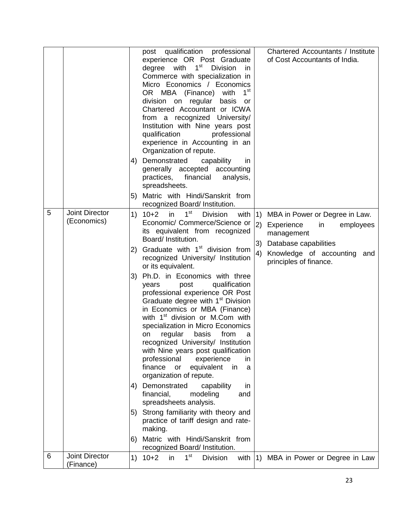|   |                                      | 4)<br>5)                         | post qualification professional<br>experience OR Post Graduate<br>degree with 1 <sup>st</sup> Division<br>in.<br>Commerce with specialization in<br>Micro Economics / Economics<br>1 <sup>st</sup><br>OR MBA (Finance)<br>with<br>division on<br>regular<br>basis<br>or<br>Chartered Accountant or ICWA<br>from a recognized University/<br>Institution with Nine years post<br>qualification<br>professional<br>experience in Accounting in an<br>Organization of repute.<br>Demonstrated<br>capability<br>in.<br>generally accepted accounting<br>practices, financial<br>analysis,<br>spreadsheets.<br>Matric with Hindi/Sanskrit from                                                                                                                                                                                                                                                                                                                                                                                                                                     |                       | Chartered Accountants / Institute<br>of Cost Accountants of India.                                                                                                 |
|---|--------------------------------------|----------------------------------|-------------------------------------------------------------------------------------------------------------------------------------------------------------------------------------------------------------------------------------------------------------------------------------------------------------------------------------------------------------------------------------------------------------------------------------------------------------------------------------------------------------------------------------------------------------------------------------------------------------------------------------------------------------------------------------------------------------------------------------------------------------------------------------------------------------------------------------------------------------------------------------------------------------------------------------------------------------------------------------------------------------------------------------------------------------------------------|-----------------------|--------------------------------------------------------------------------------------------------------------------------------------------------------------------|
| 5 | <b>Joint Director</b><br>(Economics) | 1)<br>2)<br>3)<br>4)<br>5)<br>6) | recognized Board/ Institution.<br>1 <sup>st</sup><br>$10+2$<br>in<br><b>Division</b><br>with<br>Economic/ Commerce/Science or<br>its equivalent from recognized<br>Board/ Institution.<br>Graduate with 1 <sup>st</sup> division from<br>recognized University/ Institution<br>or its equivalent.<br>Ph.D. in Economics with three<br>qualification<br>post<br>years<br>professional experience OR Post<br>Graduate degree with 1 <sup>st</sup> Division<br>in Economics or MBA (Finance)<br>with 1 <sup>st</sup> division or M.Com with<br>specialization in Micro Economics<br>regular<br>basis<br>from<br><b>on</b><br>a<br>recognized University/ Institution<br>with Nine years post qualification<br>professional<br>experience<br>in.<br>finance<br>equivalent<br>in<br>or<br>a<br>organization of repute.<br>Demonstrated<br>capability<br>in<br>financial,<br>modeling<br>and<br>spreadsheets analysis.<br>Strong familiarity with theory and<br>practice of tariff design and rate-<br>making.<br>Matric with Hindi/Sanskrit from<br>recognized Board/ Institution. | 1)<br>(2)<br>3)<br>4) | MBA in Power or Degree in Law.<br>Experience<br>in<br>employees<br>management<br>Database capabilities<br>Knowledge of accounting<br>and<br>principles of finance. |
| 6 | <b>Joint Director</b><br>(Finance)   | 1)                               | 1 <sup>st</sup><br>$10+2$<br>in<br><b>Division</b><br>with                                                                                                                                                                                                                                                                                                                                                                                                                                                                                                                                                                                                                                                                                                                                                                                                                                                                                                                                                                                                                    |                       | 1) MBA in Power or Degree in Law                                                                                                                                   |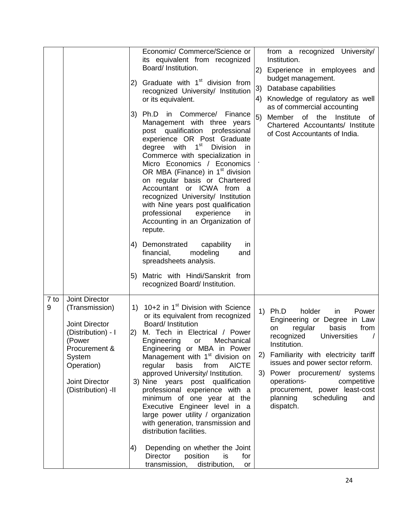|           |                                                                                                                                                                            | 2)<br>3)<br>4)                                                 | Economic/ Commerce/Science or<br>its equivalent from recognized<br>Board/ Institution.<br>Graduate with 1 <sup>st</sup> division from<br>recognized University/ Institution<br>or its equivalent.<br>Ph.D<br>in Commerce/ Finance<br>Management with three years<br>post qualification<br>professional<br>experience OR Post Graduate<br>$1^{\rm st}$<br>degree with<br><b>Division</b><br>in.<br>Commerce with specialization in<br>Micro Economics / Economics<br>OR MBA (Finance) in 1 <sup>st</sup> division<br>on regular basis or Chartered<br>Accountant or ICWA from a<br>recognized University/ Institution<br>with Nine years post qualification<br>professional<br>experience<br>in<br>Accounting in an Organization of<br>repute.<br>Demonstrated<br>capability<br>in<br>financial,<br>modeling<br>and<br>spreadsheets analysis. | 3)<br>4)<br>5) | from a recognized University/<br>Institution.<br>2) Experience in employees and<br>budget management.<br>Database capabilities<br>Knowledge of regulatory as well<br>as of commercial accounting<br>of<br>the<br>Member<br>Institute<br>ot<br>Chartered Accountants/ Institute<br>of Cost Accountants of India.                                                       |
|-----------|----------------------------------------------------------------------------------------------------------------------------------------------------------------------------|----------------------------------------------------------------|----------------------------------------------------------------------------------------------------------------------------------------------------------------------------------------------------------------------------------------------------------------------------------------------------------------------------------------------------------------------------------------------------------------------------------------------------------------------------------------------------------------------------------------------------------------------------------------------------------------------------------------------------------------------------------------------------------------------------------------------------------------------------------------------------------------------------------------------|----------------|-----------------------------------------------------------------------------------------------------------------------------------------------------------------------------------------------------------------------------------------------------------------------------------------------------------------------------------------------------------------------|
|           |                                                                                                                                                                            | 5)                                                             | Matric with Hindi/Sanskrit from<br>recognized Board/ Institution.                                                                                                                                                                                                                                                                                                                                                                                                                                                                                                                                                                                                                                                                                                                                                                            |                |                                                                                                                                                                                                                                                                                                                                                                       |
| 7 to<br>9 | <b>Joint Director</b><br>(Transmission)<br>Joint Director<br>(Distribution) - I<br>(Power<br>Procurement &<br>System<br>Operation)<br>Joint Director<br>(Distribution) -II | $\left( \begin{matrix} 1 \end{matrix} \right)$<br>$\mathbf{2}$ | 10+2 in 1 <sup>st</sup> Division with Science<br>or its equivalent from recognized<br>Board/ Institution<br>M. Tech in Electrical / Power<br>Engineering<br>or<br>Mechanical<br>Engineering or MBA in Power<br>Management with 1 <sup>st</sup> division on<br>regular<br>basis<br><b>AICTE</b><br>from<br>approved University/ Institution.<br>3) Nine years post qualification<br>professional experience with a<br>minimum of one year at the<br>Executive Engineer level in a<br>large power utility / organization<br>with generation, transmission and<br>distribution facilities.                                                                                                                                                                                                                                                      | 2)<br>3)       | 1) Ph.D<br>holder<br>in<br>Power<br>Engineering or Degree in Law<br>regular<br>basis<br>from<br>on<br>Universities<br>recognized<br>Institution.<br>Familiarity with electricity tariff<br>issues and power sector reform.<br>Power procurement/ systems<br>operations-<br>competitive<br>procurement, power least-cost<br>planning<br>scheduling<br>and<br>dispatch. |
|           |                                                                                                                                                                            | 4)                                                             | Depending on whether the Joint<br><b>Director</b><br>position<br>is<br>for<br>distribution,<br>transmission,<br>or                                                                                                                                                                                                                                                                                                                                                                                                                                                                                                                                                                                                                                                                                                                           |                |                                                                                                                                                                                                                                                                                                                                                                       |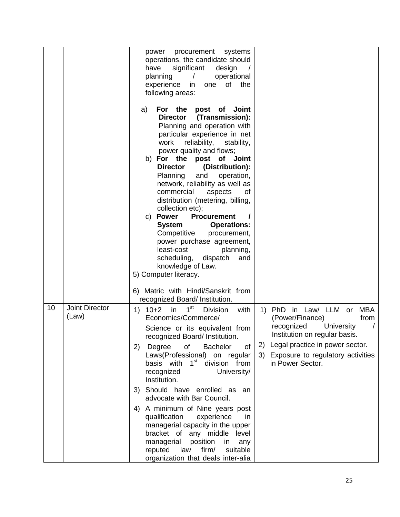|    |                         | procurement systems<br>power<br>operations, the candidate should<br>significant<br>have<br>design<br>planning<br>operational<br>experience<br>of<br>the<br>in.<br>one<br>following areas:                                                                                                                                                                                                                                                                                                                                                                                                                                                                             |
|----|-------------------------|-----------------------------------------------------------------------------------------------------------------------------------------------------------------------------------------------------------------------------------------------------------------------------------------------------------------------------------------------------------------------------------------------------------------------------------------------------------------------------------------------------------------------------------------------------------------------------------------------------------------------------------------------------------------------|
|    |                         | For the post of Joint<br>a)<br>Director (Transmission):<br>Planning and operation with<br>particular experience in net<br>reliability,<br>work<br>stability,<br>power quality and flows;<br>b) For the post of Joint<br>(Distribution):<br><b>Director</b><br>Planning<br>and<br>operation,<br>network, reliability as well as<br>commercial<br>aspects<br>0f<br>distribution (metering, billing,<br>collection etc);<br><b>Procurement</b><br>c) Power<br><b>System</b><br><b>Operations:</b><br>Competitive<br>procurement,<br>power purchase agreement,<br>least-cost<br>planning,<br>scheduling,<br>dispatch<br>and<br>knowledge of Law.<br>5) Computer literacy. |
|    |                         | 6) Matric with Hindi/Sanskrit from<br>recognized Board/ Institution.                                                                                                                                                                                                                                                                                                                                                                                                                                                                                                                                                                                                  |
| 10 | Joint Director<br>(Law) | 1 <sup>st</sup><br>$1) 10+2$<br>in<br><b>Division</b><br>1) PhD in Law/ LLM or<br>MBA<br>with<br>Economics/Commerce/<br>(Power/Finance)<br>from<br>recognized<br>University<br>Science or its equivalent from<br>Institution on regular basis.<br>recognized Board/ Institution.<br>2) Legal practice in power sector.<br>of<br><b>Bachelor</b><br>Degree<br>of<br>2)<br>Laws(Professional) on regular<br>Exposure to regulatory activities<br>3)<br>basis with 1 <sup>st</sup> division from<br>in Power Sector.<br>University/<br>recognized<br>Institution.<br>Should have enrolled as an<br>3)                                                                    |
|    |                         | advocate with Bar Council.<br>A minimum of Nine years post<br>4)<br>qualification<br>experience<br>in.<br>managerial capacity in the upper<br>bracket of any middle level<br>managerial<br>position<br>in<br>any<br>firm/<br>reputed<br>law<br>suitable<br>organization that deals inter-alia                                                                                                                                                                                                                                                                                                                                                                         |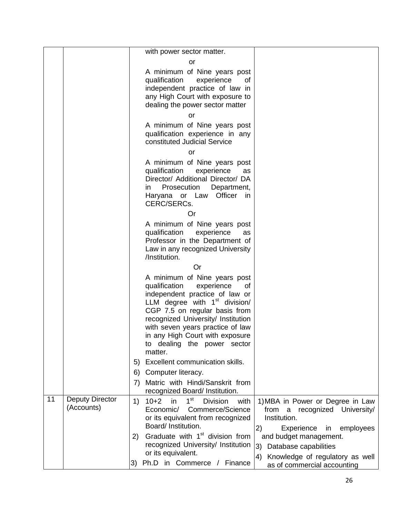|    |                                      | with power sector matter.                                                                                                                                                                                                                                                                                                      |
|----|--------------------------------------|--------------------------------------------------------------------------------------------------------------------------------------------------------------------------------------------------------------------------------------------------------------------------------------------------------------------------------|
|    |                                      | or                                                                                                                                                                                                                                                                                                                             |
|    |                                      | A minimum of Nine years post<br>qualification<br>experience<br>of<br>independent practice of law in<br>any High Court with exposure to<br>dealing the power sector matter                                                                                                                                                      |
|    |                                      | or                                                                                                                                                                                                                                                                                                                             |
|    |                                      | A minimum of Nine years post<br>qualification experience in any<br>constituted Judicial Service                                                                                                                                                                                                                                |
|    |                                      | or                                                                                                                                                                                                                                                                                                                             |
|    |                                      | A minimum of Nine years post<br>qualification<br>experience<br>as<br>Director/ Additional Director/ DA<br>Prosecution<br>Department,<br>in<br>Haryana or Law Officer<br>in.<br>CERC/SERCs.                                                                                                                                     |
|    |                                      | Or<br>A minimum of Nine years post                                                                                                                                                                                                                                                                                             |
|    |                                      | qualification<br>experience<br>as<br>Professor in the Department of<br>Law in any recognized University<br>/Institution.                                                                                                                                                                                                       |
|    |                                      | <b>Or</b>                                                                                                                                                                                                                                                                                                                      |
|    |                                      | A minimum of Nine years post<br>qualification<br>experience<br>of<br>independent practice of law or<br>LLM degree with $1st$ division/<br>CGP 7.5 on regular basis from<br>recognized University/ Institution<br>with seven years practice of law<br>in any High Court with exposure<br>to dealing the power sector<br>matter. |
|    |                                      | Excellent communication skills.<br>5)                                                                                                                                                                                                                                                                                          |
|    |                                      | Computer literacy.<br>6)                                                                                                                                                                                                                                                                                                       |
|    |                                      | Matric with Hindi/Sanskrit from<br>7)<br>recognized Board/ Institution.                                                                                                                                                                                                                                                        |
| 11 | <b>Deputy Director</b><br>(Accounts) | 1 <sup>st</sup><br>$10+2$<br>in<br><b>Division</b><br>1)<br>with<br>1) MBA in Power or Degree in Law<br>Commerce/Science<br>Economic/<br>from a recognized University/<br>Institution.<br>or its equivalent from recognized<br>Board/ Institution.<br> 2)<br>Experience<br>employees<br>in                                     |
|    |                                      | Graduate with 1 <sup>st</sup> division from<br>2)<br>and budget management.<br>recognized University/ Institution<br>Database capabilities<br>3)                                                                                                                                                                               |
|    |                                      | or its equivalent.<br>Knowledge of regulatory as well<br>4)                                                                                                                                                                                                                                                                    |
|    |                                      | Ph.D in Commerce / Finance<br>3)<br>as of commercial accounting                                                                                                                                                                                                                                                                |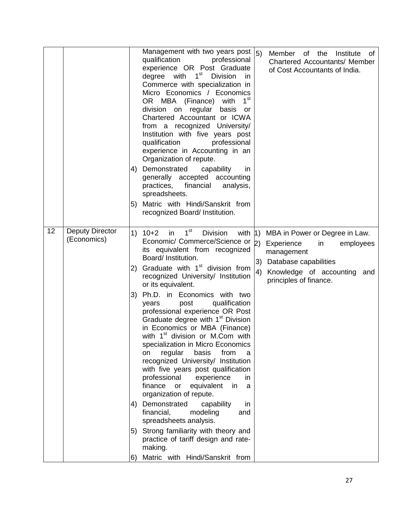| 4)<br>5)                                                           | Matric with Hindi/Sanskrit from<br>recognized Board/ Institution.                                                                                                                                                                                                                                                                                                                                                                                                                                                                                                                                                                                                                                                                                                                                                                                                                                                                                                                       |                                                                                                                                                                                               |
|--------------------------------------------------------------------|-----------------------------------------------------------------------------------------------------------------------------------------------------------------------------------------------------------------------------------------------------------------------------------------------------------------------------------------------------------------------------------------------------------------------------------------------------------------------------------------------------------------------------------------------------------------------------------------------------------------------------------------------------------------------------------------------------------------------------------------------------------------------------------------------------------------------------------------------------------------------------------------------------------------------------------------------------------------------------------------|-----------------------------------------------------------------------------------------------------------------------------------------------------------------------------------------------|
| 12<br>Deputy Director<br>(Economics)<br>2)<br>3)<br>4)<br>5)<br>6) | in $1st$<br>$1)$ 10+2<br>Division<br>with $ 1\rangle$<br>Economic/ Commerce/Science or<br>its equivalent from recognized<br>Board/ Institution.<br>Graduate with 1 <sup>st</sup> division from<br>recognized University/ Institution<br>or its equivalent.<br>Ph.D. in Economics with two<br>qualification<br>post<br>years<br>professional experience OR Post<br>Graduate degree with 1 <sup>st</sup> Division<br>in Economics or MBA (Finance)<br>with 1 <sup>st</sup> division or M.Com with<br>specialization in Micro Economics<br>from<br>regular<br>basis<br>on<br>a<br>recognized University/ Institution<br>with five years post qualification<br>professional<br>experience<br>in<br>finance or<br>equivalent<br>in<br>a<br>organization of repute.<br>Demonstrated<br>capability<br>in<br>financial,<br>modeling<br>and<br>spreadsheets analysis.<br>Strong familiarity with theory and<br>practice of tariff design and rate-<br>making.<br>Matric with Hindi/Sanskrit from | MBA in Power or Degree in Law.<br>$ 2\rangle$<br>Experience<br>in<br>employees<br>management<br>3)<br>Database capabilities<br>4)<br>Knowledge of accounting<br>and<br>principles of finance. |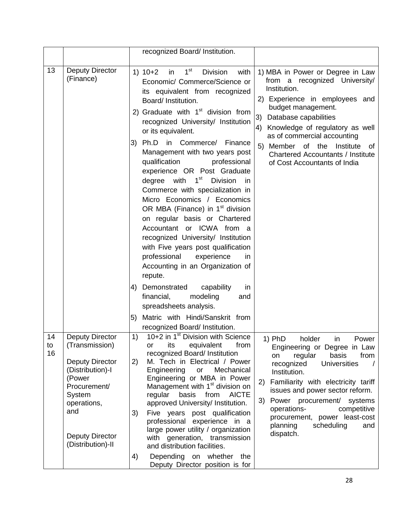|                |                                                                                                                                                                                                 | recognized Board/ Institution.                                                                                                                                                                                                                                                                                                                                                                                                                                                                                                                                                                                                                        |                                                                                                                                                                                                                                                                                                                                                                                            |
|----------------|-------------------------------------------------------------------------------------------------------------------------------------------------------------------------------------------------|-------------------------------------------------------------------------------------------------------------------------------------------------------------------------------------------------------------------------------------------------------------------------------------------------------------------------------------------------------------------------------------------------------------------------------------------------------------------------------------------------------------------------------------------------------------------------------------------------------------------------------------------------------|--------------------------------------------------------------------------------------------------------------------------------------------------------------------------------------------------------------------------------------------------------------------------------------------------------------------------------------------------------------------------------------------|
| 13             | Deputy Director<br>(Finance)                                                                                                                                                                    | 1 <sup>st</sup><br>$1) 10+2$<br>in<br><b>Division</b><br>with<br>Economic/ Commerce/Science or<br>its equivalent from recognized<br>Board/ Institution.                                                                                                                                                                                                                                                                                                                                                                                                                                                                                               | 1) MBA in Power or Degree in Law<br>from a recognized University/<br>Institution.<br>2) Experience in employees and                                                                                                                                                                                                                                                                        |
|                |                                                                                                                                                                                                 | 2) Graduate with $1st$ division from<br>recognized University/ Institution<br>or its equivalent.                                                                                                                                                                                                                                                                                                                                                                                                                                                                                                                                                      | budget management.<br>3)<br>Database capabilities<br>4)<br>Knowledge of regulatory as well                                                                                                                                                                                                                                                                                                 |
|                |                                                                                                                                                                                                 | Ph.D in Commerce/ Finance<br>3)<br>Management with two years post<br>qualification<br>professional<br>experience OR Post Graduate<br>degree with<br>$1^{\rm st}$<br><b>Division</b><br>in<br>Commerce with specialization in<br>Micro Economics / Economics<br>OR MBA (Finance) in 1 <sup>st</sup> division<br>on regular basis or Chartered<br>Accountant or ICWA from a<br>recognized University/ Institution<br>with Five years post qualification<br>professional<br>experience<br>in<br>Accounting in an Organization of<br>repute.<br>Demonstrated<br>capability<br>4)<br>in.                                                                   | as of commercial accounting<br>5) Member of the<br>Institute<br>of<br><b>Chartered Accountants / Institute</b><br>of Cost Accountants of India                                                                                                                                                                                                                                             |
|                |                                                                                                                                                                                                 | financial,<br>modeling<br>and<br>spreadsheets analysis.<br>Matric with Hindi/Sanskrit from<br>5)                                                                                                                                                                                                                                                                                                                                                                                                                                                                                                                                                      |                                                                                                                                                                                                                                                                                                                                                                                            |
| 14<br>to<br>16 | <b>Deputy Director</b><br>(Transmission)<br><b>Deputy Director</b><br>(Distribution)-I<br>(Power<br>Procurement/<br>System<br>operations,<br>and<br><b>Deputy Director</b><br>(Distribution)-II | recognized Board/ Institution.<br>10+2 in 1 <sup>st</sup> Division with Science<br>1)<br>equivalent<br>from<br>its<br>or<br>recognized Board/ Institution<br>2)<br>M. Tech in Electrical / Power<br>Engineering<br>or<br>Mechanical<br>Engineering or MBA in Power<br>Management with 1 <sup>st</sup> division on<br>regular<br>basis<br><b>AICTE</b><br>from<br>approved University/ Institution.<br>Five years post qualification<br>3)<br>professional experience in a<br>large power utility / organization<br>with generation, transmission<br>and distribution facilities.<br>Depending on whether the<br>4)<br>Deputy Director position is for | 1) PhD holder in Power<br>Engineering or Degree in Law<br>basis<br>from<br>regular<br>on<br>recognized<br><b>Universities</b><br>$\prime$<br>Institution.<br>Familiarity with electricity tariff<br>2)<br>issues and power sector reform.<br>Power procurement/ systems<br>3)<br>operations-<br>competitive<br>procurement, power least-cost<br>scheduling<br>planning<br>and<br>dispatch. |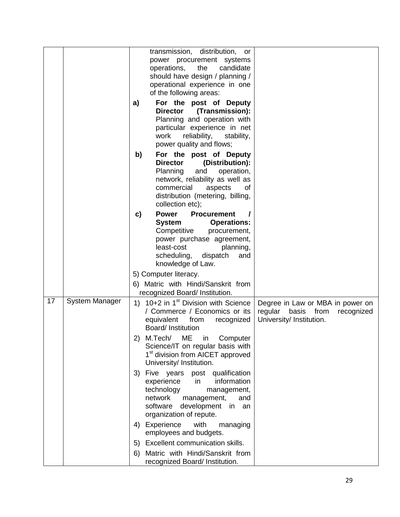|    |                       | transmission, distribution, or<br>power procurement systems<br>operations,<br>the<br>candidate                                                                                                                                                        |
|----|-----------------------|-------------------------------------------------------------------------------------------------------------------------------------------------------------------------------------------------------------------------------------------------------|
|    |                       | should have design / planning /                                                                                                                                                                                                                       |
|    |                       | operational experience in one                                                                                                                                                                                                                         |
|    |                       | of the following areas:                                                                                                                                                                                                                               |
|    |                       | For the post of Deputy<br>a)<br>Director (Transmission):<br>Planning and operation with<br>particular experience in net                                                                                                                               |
|    |                       | work<br>reliability,<br>stability,<br>power quality and flows;                                                                                                                                                                                        |
|    |                       | For the post of Deputy<br>b)<br>(Distribution):<br><b>Director</b><br>Planning<br>and<br>operation,<br>network, reliability as well as<br>commercial<br>aspects<br>οf<br>distribution (metering, billing,<br>collection etc);                         |
|    |                       | Procurement<br>c)<br><b>Power</b><br><b>System</b><br><b>Operations:</b><br>Competitive<br>procurement,<br>power purchase agreement,<br>least-cost<br>planning,<br>scheduling, dispatch<br>and<br>knowledge of Law.                                   |
|    |                       | 5) Computer literacy.                                                                                                                                                                                                                                 |
|    |                       | 6) Matric with Hindi/Sanskrit from                                                                                                                                                                                                                    |
|    |                       | recognized Board/ Institution.                                                                                                                                                                                                                        |
| 17 | <b>System Manager</b> | 1) 10+2 in 1 <sup>st</sup> Division with Science<br>Degree in Law or MBA in power on<br>/ Commerce / Economics or its<br>from<br>regular<br>basis<br>recognized<br>from<br>equivalent<br>University/ Institution.<br>recognized<br>Board/ Institution |
|    |                       | 2) M.Tech/ ME in Computer<br>Science/IT on regular basis with<br>1 <sup>st</sup> division from AICET approved<br>University/ Institution.                                                                                                             |
|    |                       | Five years post qualification<br>3)<br>information<br>experience<br>in<br>technology<br>management,<br>network<br>management,<br>and<br>software<br>development<br>in<br>an<br>organization of repute.                                                |
|    |                       | with<br>Experience<br>4)<br>managing<br>employees and budgets.                                                                                                                                                                                        |
|    |                       | Excellent communication skills.<br>5)                                                                                                                                                                                                                 |
|    |                       | Matric with Hindi/Sanskrit from<br>6)<br>recognized Board/ Institution.                                                                                                                                                                               |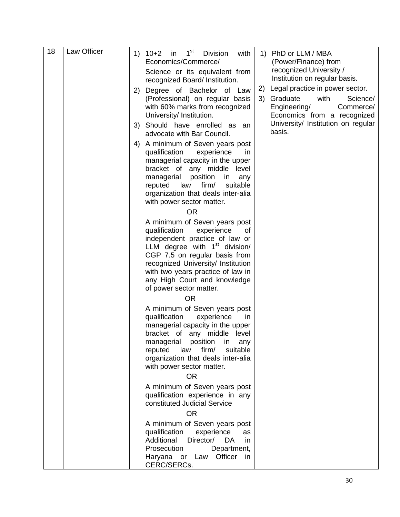| 18 | Law Officer | 1 <sup>st</sup><br>$1) 10+2$<br>in<br><b>Division</b><br>1) PhD or LLM / MBA<br>with<br>Economics/Commerce/<br>(Power/Finance) from                                                                                                                                                                            |
|----|-------------|----------------------------------------------------------------------------------------------------------------------------------------------------------------------------------------------------------------------------------------------------------------------------------------------------------------|
|    |             | recognized University /<br>Science or its equivalent from                                                                                                                                                                                                                                                      |
|    |             | Institution on regular basis.<br>recognized Board/ Institution.                                                                                                                                                                                                                                                |
|    |             | 2) Legal practice in power sector.<br>Degree of Bachelor of Law<br>2)<br>3) Graduate<br>(Professional) on regular basis<br>with<br>Science/<br>with 60% marks from recognized<br>Engineering/<br>Commerce/<br>University/ Institution.<br>Economics from a recognized                                          |
|    |             | University/ Institution on regular<br>3) Should have enrolled as an<br>basis.<br>advocate with Bar Council.                                                                                                                                                                                                    |
|    |             | A minimum of Seven years post<br>4)<br>qualification<br>experience<br>in.<br>managerial capacity in the upper<br>bracket of any middle level<br>position<br>managerial<br>in<br>any<br>reputed<br>firm/<br>law<br>suitable<br>organization that deals inter-alia<br>with power sector matter.<br><b>OR</b>     |
|    |             | A minimum of Seven years post<br>qualification<br>experience<br>οf<br>independent practice of law or<br>LLM degree with $1st$ division/<br>CGP 7.5 on regular basis from<br>recognized University/ Institution<br>with two years practice of law in<br>any High Court and knowledge<br>of power sector matter. |
|    |             | <b>OR</b><br>A minimum of Seven years post<br>qualification<br>experience<br>in.<br>managerial capacity in the upper<br>bracket of any middle level<br>managerial<br>position<br>in<br>any<br>law<br>firm/<br>suitable<br>reputed<br>organization that deals inter-alia<br>with power sector matter.           |
|    |             | <b>OR</b><br>A minimum of Seven years post<br>qualification experience in any<br>constituted Judicial Service                                                                                                                                                                                                  |
|    |             | <b>OR</b><br>A minimum of Seven years post<br>qualification<br>experience<br>as<br>Additional<br>Director/<br>DA.<br>in.<br>Prosecution<br>Department,<br>Haryana or Law Officer<br>in.<br>CERC/SERCs.                                                                                                         |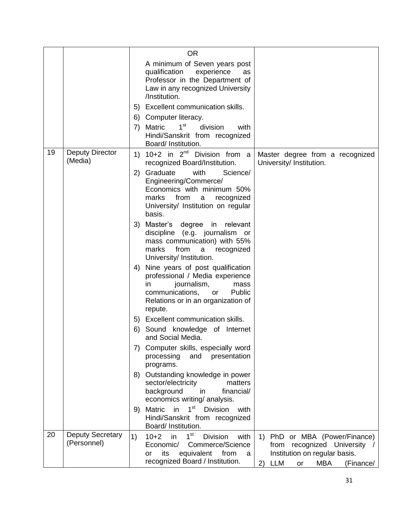|    |                                        | <b>OR</b>                                                                                                                                                                                                                                                                                                               |
|----|----------------------------------------|-------------------------------------------------------------------------------------------------------------------------------------------------------------------------------------------------------------------------------------------------------------------------------------------------------------------------|
|    |                                        | A minimum of Seven years post<br>qualification<br>experience<br>as<br>Professor in the Department of<br>Law in any recognized University<br>/Institution.                                                                                                                                                               |
|    |                                        | 5) Excellent communication skills.                                                                                                                                                                                                                                                                                      |
|    |                                        | Computer literacy.<br>6)                                                                                                                                                                                                                                                                                                |
|    |                                        | $1^{\rm st}$<br>Matric<br>division<br>7)<br>with<br>Hindi/Sanskrit from recognized<br>Board/ Institution.                                                                                                                                                                                                               |
| 19 | <b>Deputy Director</b><br>(Media)      | 1) $10+2$ in $2^{nd}$ Division from a<br>Master degree from a recognized<br>recognized Board/Institution.<br>University/ Institution.                                                                                                                                                                                   |
|    |                                        | 2) Graduate<br>with<br>Science/<br>Engineering/Commerce/<br>Economics with minimum 50%<br>from<br>marks<br>recognized<br>a<br>University/ Institution on regular<br>basis.                                                                                                                                              |
|    |                                        | 3) Master's degree in relevant<br>discipline (e.g. journalism or<br>mass communication) with 55%<br>from<br>marks<br>recognized<br>a<br>University/ Institution.                                                                                                                                                        |
|    |                                        | Nine years of post qualification<br>4)<br>professional / Media experience<br>journalism,<br>in.<br>mass<br>communications, or<br>Public<br>Relations or in an organization of<br>repute.                                                                                                                                |
|    |                                        | 5) Excellent communication skills.                                                                                                                                                                                                                                                                                      |
|    |                                        | Sound knowledge of Internet<br>6)<br>and Social Media.                                                                                                                                                                                                                                                                  |
|    |                                        | Computer skills, especially word<br>7)<br>processing<br>and<br>presentation<br>programs.                                                                                                                                                                                                                                |
|    |                                        | Outstanding knowledge in power<br>8)<br>sector/electricity<br>matters<br>background<br>financial/<br>in<br>economics writing/ analysis.                                                                                                                                                                                 |
|    |                                        | in 1 <sup>st</sup> Division<br><b>Matric</b><br>with<br>9)<br>Hindi/Sanskrit from recognized<br>Board/ Institution.                                                                                                                                                                                                     |
| 20 | <b>Deputy Secretary</b><br>(Personnel) | 1 <sup>st</sup><br>1)<br>$10+2$<br>in<br><b>Division</b><br>1) PhD or MBA (Power/Finance)<br>with<br>Commerce/Science<br>from recognized University<br>Economic/<br>Institution on regular basis.<br>its<br>equivalent<br>from<br><b>or</b><br>a<br>recognized Board / Institution.<br>2) LLM<br>MBA<br>(Finance/<br>or |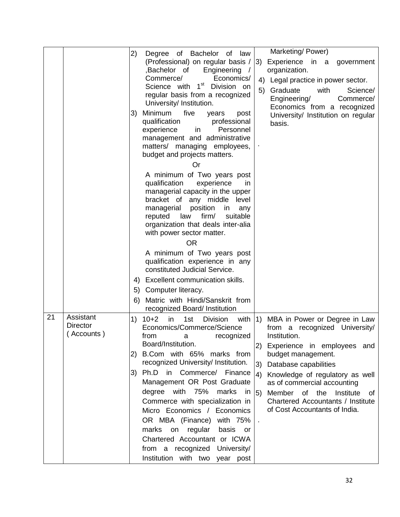|    |                                            | Marketing/Power)<br>2)<br>Degree of Bachelor of law                                                                                                                                                                                                                                                                                                                                                                                                                                                                                                                                                                                                                                                                                                                                                                                                                                                                                                         |
|----|--------------------------------------------|-------------------------------------------------------------------------------------------------------------------------------------------------------------------------------------------------------------------------------------------------------------------------------------------------------------------------------------------------------------------------------------------------------------------------------------------------------------------------------------------------------------------------------------------------------------------------------------------------------------------------------------------------------------------------------------------------------------------------------------------------------------------------------------------------------------------------------------------------------------------------------------------------------------------------------------------------------------|
|    |                                            | (Professional) on regular basis / 3)<br>Experience in a government<br>,Bachelor of<br>Engineering<br>organization.<br>$\sqrt{ }$<br>Commerce/<br>Economics/<br>4) Legal practice in power sector.<br>1 <sup>st</sup> Division on<br>Science with<br>5)<br>Graduate<br>with<br>Science/<br>regular basis from a recognized<br>Engineering/<br>Commerce/<br>University/ Institution.<br>Economics from a recognized                                                                                                                                                                                                                                                                                                                                                                                                                                                                                                                                           |
|    |                                            | Minimum<br>five<br>3)<br>years<br>post<br>University/ Institution on regular<br>professional<br>qualification<br>basis.<br>experience<br>Personnel<br>in<br>management and administrative<br>matters/ managing employees,<br>budget and projects matters.<br>Or                                                                                                                                                                                                                                                                                                                                                                                                                                                                                                                                                                                                                                                                                             |
|    |                                            | A minimum of Two years post<br>qualification<br>experience<br>in.<br>managerial capacity in the upper<br>bracket of any middle level<br>position<br>managerial<br>in.<br>any<br>firm/<br>reputed<br>law<br>suitable<br>organization that deals inter-alia<br>with power sector matter.<br><b>OR</b>                                                                                                                                                                                                                                                                                                                                                                                                                                                                                                                                                                                                                                                         |
|    |                                            | A minimum of Two years post<br>qualification experience in any<br>constituted Judicial Service.                                                                                                                                                                                                                                                                                                                                                                                                                                                                                                                                                                                                                                                                                                                                                                                                                                                             |
|    |                                            | Excellent communication skills.<br>4)<br>Computer literacy.<br>5)<br>Matric with Hindi/Sanskrit from<br>6)<br>recognized Board/ Institution                                                                                                                                                                                                                                                                                                                                                                                                                                                                                                                                                                                                                                                                                                                                                                                                                 |
| 21 | Assistant<br><b>Director</b><br>(Accounts) | 1)<br>$10+2$<br>1st<br>with $ 1\rangle$<br>MBA in Power or Degree in Law<br>in<br><b>Division</b><br>Economics/Commerce/Science<br>recognized University/<br>from a<br>Institution.<br>from<br>recognized<br>a<br>Board/Institution.<br>2) Experience in employees and<br>B.Com with 65% marks from<br>budget management.<br>2)<br>recognized University/ Institution.<br>3)<br>Database capabilities<br>Ph.D in Commerce/ Finance<br>3)<br>$ 4\rangle$<br>Knowledge of regulatory as well<br>Management OR Post Graduate<br>as of commercial accounting<br>degree with 75%<br>marks<br>in $\vert 5$ )<br>Member of the<br>Institute<br>of<br>Commerce with specialization in<br>Chartered Accountants / Institute<br>of Cost Accountants of India.<br>Micro Economics / Economics<br>OR MBA (Finance) with 75%<br>marks<br>basis<br>on<br>regular<br>or<br>Chartered Accountant or ICWA<br>from a recognized University/<br>Institution with two year post |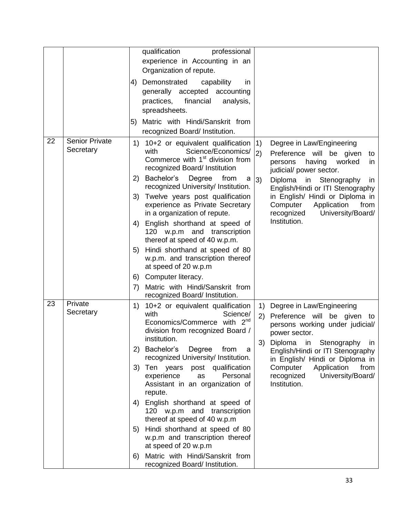|    |                                    | qualification<br>professional<br>experience in Accounting in an<br>Organization of repute.<br>Demonstrated<br>capability<br>4)<br>in.<br>generally accepted accounting<br>financial<br>practices,<br>analysis,<br>spreadsheets.<br>Matric with Hindi/Sanskrit from<br>5)<br>recognized Board/ Institution.                                                                                                                                                                                                                                                                                                                                                        |                                                                                                                                                                                                                                                                                                                                                |
|----|------------------------------------|-------------------------------------------------------------------------------------------------------------------------------------------------------------------------------------------------------------------------------------------------------------------------------------------------------------------------------------------------------------------------------------------------------------------------------------------------------------------------------------------------------------------------------------------------------------------------------------------------------------------------------------------------------------------|------------------------------------------------------------------------------------------------------------------------------------------------------------------------------------------------------------------------------------------------------------------------------------------------------------------------------------------------|
| 22 | <b>Senior Private</b><br>Secretary | 1) 10+2 or equivalent qualification<br>Science/Economics/<br>with<br>Commerce with 1 <sup>st</sup> division from<br>recognized Board/ Institution<br>Bachelor's<br>Degree<br>from<br>2)<br>a<br>recognized University/ Institution.<br>Twelve years post qualification<br>3)<br>experience as Private Secretary<br>in a organization of repute.<br>English shorthand at speed of<br>4)<br>120 w.p.m and transcription<br>thereof at speed of 40 w.p.m.<br>Hindi shorthand at speed of 80<br>5)<br>w.p.m. and transcription thereof<br>at speed of 20 w.p.m<br>Computer literacy.<br>6)<br>Matric with Hindi/Sanskrit from<br>7)<br>recognized Board/ Institution. | 1)<br>Degree in Law/Engineering<br>2)<br>Preference will be given<br>to<br>having<br>worked<br>persons<br>in<br>judicial/ power sector.<br>3)<br>Diploma<br>in Stenography<br>in.<br>English/Hindi or ITI Stenography<br>in English/ Hindi or Diploma in<br>Computer<br>Application<br>from<br>University/Board/<br>recognized<br>Institution. |
| 23 | Private<br>Secretary               | 10+2 or equivalent qualification<br>1)<br>with<br>Science/<br>2 <sup>nd</sup><br>Economics/Commerce with<br>division from recognized Board /<br>institution.<br>Bachelor's<br>Degree<br>from<br>2)<br>a<br>recognized University/ Institution.<br>3)<br>Ten years<br>post<br>qualification<br>Personal<br>experience<br>as<br>Assistant in an organization of<br>repute.<br>English shorthand at speed of<br>4)<br>120 w.p.m and transcription<br>thereof at speed of 40 w.p.m<br>Hindi shorthand at speed of 80<br>5)<br>w.p.m and transcription thereof<br>at speed of 20 w.p.m<br>Matric with Hindi/Sanskrit from<br>6)<br>recognized Board/ Institution.      | Degree in Law/Engineering<br>1)<br>(2)<br>Preference will be given to<br>persons working under judicial/<br>power sector.<br>3)<br>Stenography<br>Diploma<br>in<br>in.<br>English/Hindi or ITI Stenography<br>in English/ Hindi or Diploma in<br>Computer<br>Application<br>from<br>University/Board/<br>recognized<br>Institution.            |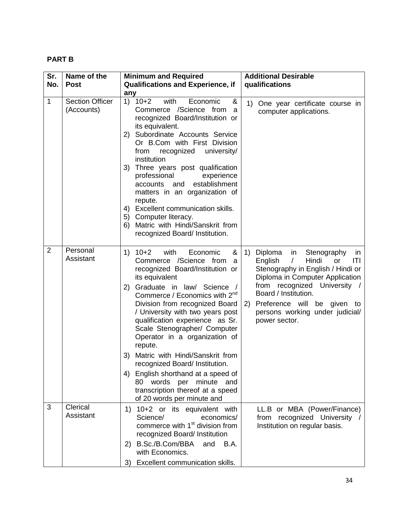# **PART B**

| Sr.            | Name of the                          | <b>Minimum and Required</b>                                                                                                                                                                                                                                                                                                                                                                                                                                                                                                                                                                                   | <b>Additional Desirable</b>                                                                                                                                                                                                                                                                             |
|----------------|--------------------------------------|---------------------------------------------------------------------------------------------------------------------------------------------------------------------------------------------------------------------------------------------------------------------------------------------------------------------------------------------------------------------------------------------------------------------------------------------------------------------------------------------------------------------------------------------------------------------------------------------------------------|---------------------------------------------------------------------------------------------------------------------------------------------------------------------------------------------------------------------------------------------------------------------------------------------------------|
| No.            | <b>Post</b>                          | <b>Qualifications and Experience, if</b><br>any                                                                                                                                                                                                                                                                                                                                                                                                                                                                                                                                                               | qualifications                                                                                                                                                                                                                                                                                          |
| 1              | <b>Section Officer</b><br>(Accounts) | with<br>$1) 10+2$<br>Economic<br>&<br>Commerce /Science from<br>a<br>recognized Board/Institution or<br>its equivalent.<br>2) Subordinate Accounts Service<br>Or B.Com with First Division<br>from recognized<br>university/<br>institution<br>3) Three years post qualification<br>professional<br>experience<br>establishment<br>accounts and<br>matters in an organization of<br>repute.<br>4) Excellent communication skills.<br>5) Computer literacy.<br>6) Matric with Hindi/Sanskrit from<br>recognized Board/ Institution.                                                                            | One year certificate course in<br>1)<br>computer applications.                                                                                                                                                                                                                                          |
| $\overline{2}$ | Personal<br>Assistant                | 1) $10+2$<br>with<br>Economic<br>&<br>1)<br>Commerce /Science from<br>a<br>recognized Board/Institution or<br>its equivalent<br>Graduate in law/ Science /<br>2)<br>Commerce / Economics with 2 <sup>nd</sup><br>Division from recognized Board<br>/ University with two years post<br>qualification experience as Sr.<br>Scale Stenographer/ Computer<br>Operator in a organization of<br>repute.<br>3) Matric with Hindi/Sanskrit from<br>recognized Board/ Institution.<br>4) English shorthand at a speed of<br>80 words per minute and<br>transcription thereof at a speed<br>of 20 words per minute and | Diploma<br>in<br>Stenography<br>in<br>English<br>$\sqrt{2}$<br>Hindi<br> T <br>or<br>Stenography in English / Hindi or<br>Diploma in Computer Application<br>from recognized University /<br>Board / Institution.<br>2) Preference will be given to<br>persons working under judicial/<br>power sector. |
| 3              | Clerical<br>Assistant                | 1) 10+2 or its equivalent with<br>Science/<br>economics/<br>commerce with 1 <sup>st</sup> division from<br>recognized Board/ Institution<br>B.Sc./B.Com/BBA<br>B.A.<br>2)<br>and<br>with Economics.<br>3) Excellent communication skills.                                                                                                                                                                                                                                                                                                                                                                     | LL.B or MBA (Power/Finance)<br>from recognized University /<br>Institution on regular basis.                                                                                                                                                                                                            |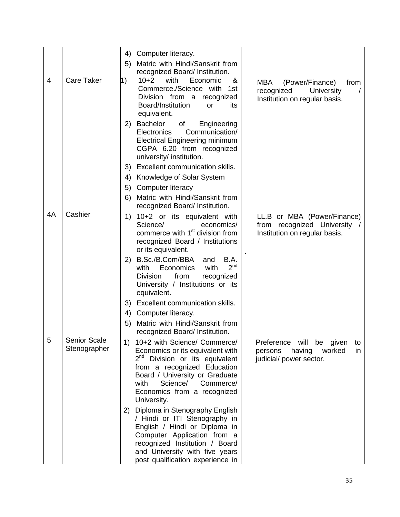|   |                                     | Computer literacy.<br>4)                                                                                                                                                                                                                                             |                                                                                                    |
|---|-------------------------------------|----------------------------------------------------------------------------------------------------------------------------------------------------------------------------------------------------------------------------------------------------------------------|----------------------------------------------------------------------------------------------------|
|   |                                     | Matric with Hindi/Sanskrit from<br>5)                                                                                                                                                                                                                                |                                                                                                    |
|   |                                     | recognized Board/ Institution.                                                                                                                                                                                                                                       |                                                                                                    |
| 4 | <b>Care Taker</b>                   | 1)<br>with<br>&<br>$10+2$<br>Economic<br>Commerce./Science with<br>1st<br>Division from a recognized<br>Board/Institution<br>or<br>its<br>equivalent.                                                                                                                | <b>MBA</b><br>(Power/Finance)<br>from<br>recognized<br>University<br>Institution on regular basis. |
|   |                                     | Bachelor<br>of<br>Engineering<br>2)<br>Communication/<br><b>Electronics</b><br><b>Electrical Engineering minimum</b><br>CGPA 6.20 from recognized<br>university/ institution.                                                                                        |                                                                                                    |
|   |                                     | 3) Excellent communication skills.                                                                                                                                                                                                                                   |                                                                                                    |
|   |                                     | Knowledge of Solar System<br>4)                                                                                                                                                                                                                                      |                                                                                                    |
|   |                                     | Computer literacy<br>5)                                                                                                                                                                                                                                              |                                                                                                    |
|   |                                     | Matric with Hindi/Sanskrit from<br>6)                                                                                                                                                                                                                                |                                                                                                    |
|   |                                     | recognized Board/ Institution.                                                                                                                                                                                                                                       |                                                                                                    |
|   | Cashier<br>4A                       | 10+2 or its equivalent with<br>1)<br>Science/<br>economics/<br>commerce with 1 <sup>st</sup> division from<br>recognized Board / Institutions<br>or its equivalent.<br>B.Sc./B.Com/BBA<br>and<br>B.A.<br>2)                                                          | LL.B or MBA (Power/Finance)<br>from recognized University<br>Institution on regular basis.         |
|   |                                     | 2 <sup>nd</sup><br>Economics<br>with<br>with<br><b>Division</b><br>from<br>recognized<br>University / Institutions or its<br>equivalent.                                                                                                                             |                                                                                                    |
|   |                                     | Excellent communication skills.<br>3)                                                                                                                                                                                                                                |                                                                                                    |
|   |                                     | Computer literacy.<br>4)                                                                                                                                                                                                                                             |                                                                                                    |
|   |                                     | Matric with Hindi/Sanskrit from<br>5)<br>recognized Board/ Institution.                                                                                                                                                                                              |                                                                                                    |
| 5 | <b>Senior Scale</b><br>Stenographer | 10+2 with Science/ Commerce/<br>1)<br>Economics or its equivalent with<br>2 <sup>nd</sup> Division or its equivalent<br>from a recognized Education<br>Board / University or Graduate<br>Science/<br>Commerce/<br>with<br>Economics from a recognized<br>University. | Preference will be given<br>to<br>having<br>worked<br>persons<br>in.<br>judicial/ power sector.    |
|   |                                     | 2) Diploma in Stenography English<br>/ Hindi or ITI Stenography in<br>English / Hindi or Diploma in<br>Computer Application from a<br>recognized Institution / Board<br>and University with five years<br>post qualification experience in                           |                                                                                                    |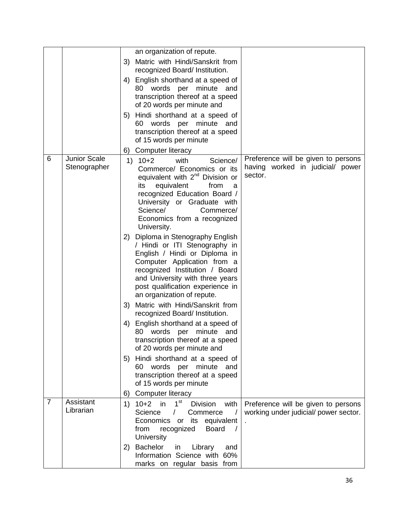|                |                              | an organization of repute.                                                                                                                                                                                                                                                            |                                                                                    |
|----------------|------------------------------|---------------------------------------------------------------------------------------------------------------------------------------------------------------------------------------------------------------------------------------------------------------------------------------|------------------------------------------------------------------------------------|
|                |                              | 3) Matric with Hindi/Sanskrit from<br>recognized Board/ Institution.                                                                                                                                                                                                                  |                                                                                    |
|                |                              | 4) English shorthand at a speed of<br>80 words per minute and<br>transcription thereof at a speed<br>of 20 words per minute and                                                                                                                                                       |                                                                                    |
|                |                              | 5) Hindi shorthand at a speed of<br>60 words per minute and<br>transcription thereof at a speed<br>of 15 words per minute                                                                                                                                                             |                                                                                    |
|                |                              | Computer literacy<br>6)                                                                                                                                                                                                                                                               |                                                                                    |
| 6              | Junior Scale<br>Stenographer | $10+2$<br>with<br>Science/<br>1)<br>Commerce/ Economics or its<br>equivalent with 2 <sup>nd</sup> Division or<br>its<br>equivalent<br>from<br>a<br>recognized Education Board /<br>University or Graduate with<br>Science/<br>Commerce/<br>Economics from a recognized<br>University. | Preference will be given to persons<br>having worked in judicial/ power<br>sector. |
|                |                              | 2) Diploma in Stenography English<br>/ Hindi or ITI Stenography in<br>English / Hindi or Diploma in<br>Computer Application from a<br>recognized Institution / Board<br>and University with three years<br>post qualification experience in<br>an organization of repute.             |                                                                                    |
|                |                              | 3) Matric with Hindi/Sanskrit from<br>recognized Board/ Institution.                                                                                                                                                                                                                  |                                                                                    |
|                |                              | English shorthand at a speed of<br>4)<br>80 words per minute and<br>transcription thereof at a speed<br>of 20 words per minute and                                                                                                                                                    |                                                                                    |
|                |                              | 5) Hindi shorthand at a speed of<br>60 words per minute and<br>transcription thereof at a speed<br>of 15 words per minute                                                                                                                                                             |                                                                                    |
|                |                              | Computer literacy<br>6)                                                                                                                                                                                                                                                               |                                                                                    |
| $\overline{7}$ | Assistant<br>Librarian       | 1 <sup>st</sup><br>$10 + 2$<br><b>in</b><br><b>Division</b><br>1)<br>with<br>Science<br>Commerce<br>$\prime$<br>Economics or<br>its equivalent<br>recognized<br><b>Board</b><br>from<br>University                                                                                    | Preference will be given to persons<br>working under judicial/ power sector.       |
|                |                              | 2) Bachelor<br>in<br>Library<br>and<br>Information Science with 60%<br>marks on regular basis from                                                                                                                                                                                    |                                                                                    |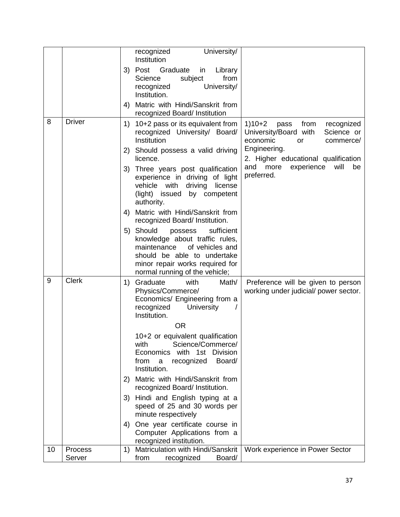|    |                   | recognized<br>University/                                                                                                                                                                                  |                                                                                                                     |
|----|-------------------|------------------------------------------------------------------------------------------------------------------------------------------------------------------------------------------------------------|---------------------------------------------------------------------------------------------------------------------|
|    |                   | Institution                                                                                                                                                                                                |                                                                                                                     |
|    |                   | Graduate<br>3) Post<br>Library<br>in                                                                                                                                                                       |                                                                                                                     |
|    |                   | Science<br>subject<br>from<br>University/<br>recognized                                                                                                                                                    |                                                                                                                     |
|    |                   | Institution.                                                                                                                                                                                               |                                                                                                                     |
|    |                   | 4) Matric with Hindi/Sanskrit from                                                                                                                                                                         |                                                                                                                     |
| 8  | <b>Driver</b>     | recognized Board/ Institution                                                                                                                                                                              |                                                                                                                     |
|    |                   | 10+2 pass or its equivalent from<br>1)<br>recognized University/ Board/<br>Institution                                                                                                                     | $1)10+2$<br>recognized<br>pass<br>from<br>University/Board with<br>Science or<br>economic<br>commerce/<br><b>or</b> |
|    |                   | 2) Should possess a valid driving<br>licence.                                                                                                                                                              | Engineering.<br>2. Higher educational qualification                                                                 |
|    |                   | Three years post qualification<br>3)<br>experience in driving of light<br>vehicle with<br>driving<br>license<br>(light) issued by competent<br>authority.                                                  | and more<br>will<br>experience<br>be<br>preferred.                                                                  |
|    |                   | 4) Matric with Hindi/Sanskrit from<br>recognized Board/ Institution.                                                                                                                                       |                                                                                                                     |
|    |                   | 5) Should<br>sufficient<br>possess<br>knowledge about traffic rules,<br>maintenance<br>of vehicles and<br>should be able to undertake<br>minor repair works required for<br>normal running of the vehicle; |                                                                                                                     |
| 9  | <b>Clerk</b>      | Graduate<br>Math/<br>with<br>1)<br>Physics/Commerce/<br>Economics/ Engineering from a<br>recognized<br>University<br>Institution.                                                                          | Preference will be given to person<br>working under judicial/ power sector.                                         |
|    |                   | <b>OR</b>                                                                                                                                                                                                  |                                                                                                                     |
|    |                   | 10+2 or equivalent qualification<br>with<br>Science/Commerce/<br>Economics with 1st Division<br>recognized<br>Board/<br>from<br>a<br>Institution.                                                          |                                                                                                                     |
|    |                   | 2) Matric with Hindi/Sanskrit from<br>recognized Board/ Institution.                                                                                                                                       |                                                                                                                     |
|    |                   | 3) Hindi and English typing at a<br>speed of 25 and 30 words per<br>minute respectively                                                                                                                    |                                                                                                                     |
|    |                   | 4) One year certificate course in<br>Computer Applications from a<br>recognized institution.                                                                                                               |                                                                                                                     |
| 10 | Process<br>Server | Matriculation with Hindi/Sanskrit<br>1)<br>from<br>Board/<br>recognized                                                                                                                                    | Work experience in Power Sector                                                                                     |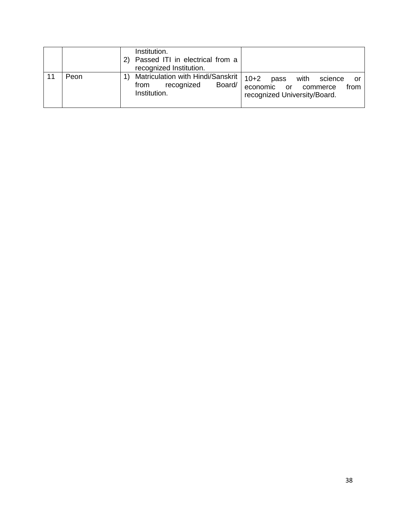|    |      | Institution.<br>Passed ITI in electrical from a<br>recognized Institution.                                                                                                                     |
|----|------|------------------------------------------------------------------------------------------------------------------------------------------------------------------------------------------------|
| 11 | Peon | Matriculation with Hindi/Sanskrit  <br>$10+2$<br>with<br>pass<br>science<br>or<br>recognized<br>Board/<br>from<br>economic or commerce<br>from<br>Institution.<br>recognized University/Board. |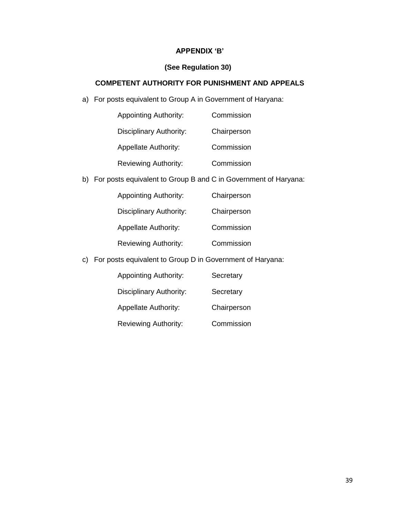## **APPENDIX 'B'**

## **(See Regulation 30)**

## **COMPETENT AUTHORITY FOR PUNISHMENT AND APPEALS**

a) For posts equivalent to Group A in Government of Haryana:

| <b>Appointing Authority:</b> | Commission  |
|------------------------------|-------------|
| Disciplinary Authority:      | Chairperson |
| <b>Appellate Authority:</b>  | Commission  |
| <b>Reviewing Authority:</b>  | Commission  |

b) For posts equivalent to Group B and C in Government of Haryana:

| <b>Appointing Authority:</b>   | Chairperson |
|--------------------------------|-------------|
| <b>Disciplinary Authority:</b> | Chairperson |
| <b>Appellate Authority:</b>    | Commission  |
| <b>Reviewing Authority:</b>    | Commission  |

c) For posts equivalent to Group D in Government of Haryana:

| <b>Appointing Authority:</b> | Secretary   |
|------------------------------|-------------|
| Disciplinary Authority:      | Secretary   |
| <b>Appellate Authority:</b>  | Chairperson |
| <b>Reviewing Authority:</b>  | Commission  |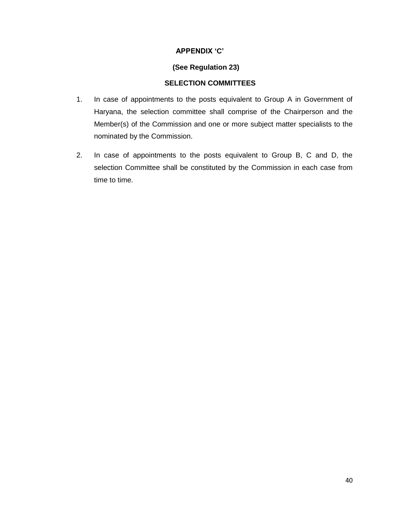## **APPENDIX 'C'**

## **(See Regulation 23)**

## **SELECTION COMMITTEES**

- 1. In case of appointments to the posts equivalent to Group A in Government of Haryana, the selection committee shall comprise of the Chairperson and the Member(s) of the Commission and one or more subject matter specialists to the nominated by the Commission.
- 2. In case of appointments to the posts equivalent to Group B, C and D, the selection Committee shall be constituted by the Commission in each case from time to time.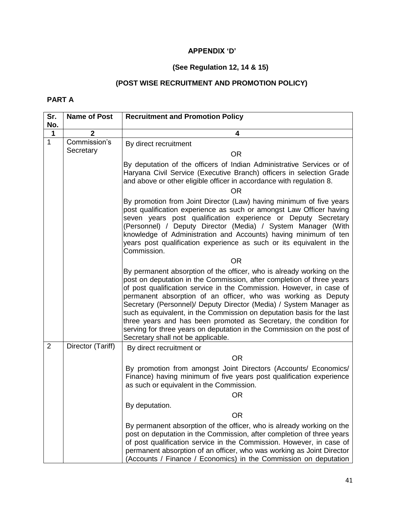# **APPENDIX 'D'**

# **(See Regulation 12, 14 & 15)**

# **(POST WISE RECRUITMENT AND PROMOTION POLICY)**

## **PART A**

| Sr.            | <b>Name of Post</b> | <b>Recruitment and Promotion Policy</b>                                                                                                                                                                                                                                                                                                                                                                                                                                                                                                                                                                                      |
|----------------|---------------------|------------------------------------------------------------------------------------------------------------------------------------------------------------------------------------------------------------------------------------------------------------------------------------------------------------------------------------------------------------------------------------------------------------------------------------------------------------------------------------------------------------------------------------------------------------------------------------------------------------------------------|
| No.            |                     |                                                                                                                                                                                                                                                                                                                                                                                                                                                                                                                                                                                                                              |
| $\mathbf 1$    | $\overline{2}$      | 4                                                                                                                                                                                                                                                                                                                                                                                                                                                                                                                                                                                                                            |
| $\mathbf{1}$   | Commission's        | By direct recruitment                                                                                                                                                                                                                                                                                                                                                                                                                                                                                                                                                                                                        |
|                | Secretary           | <b>OR</b>                                                                                                                                                                                                                                                                                                                                                                                                                                                                                                                                                                                                                    |
|                |                     | By deputation of the officers of Indian Administrative Services or of<br>Haryana Civil Service (Executive Branch) officers in selection Grade<br>and above or other eligible officer in accordance with regulation 8.                                                                                                                                                                                                                                                                                                                                                                                                        |
|                |                     | <b>OR</b>                                                                                                                                                                                                                                                                                                                                                                                                                                                                                                                                                                                                                    |
|                |                     | By promotion from Joint Director (Law) having minimum of five years<br>post qualification experience as such or amongst Law Officer having<br>seven years post qualification experience or Deputy Secretary<br>(Personnel) / Deputy Director (Media) / System Manager (With<br>knowledge of Administration and Accounts) having minimum of ten<br>years post qualification experience as such or its equivalent in the<br>Commission.                                                                                                                                                                                        |
|                |                     | <b>OR</b>                                                                                                                                                                                                                                                                                                                                                                                                                                                                                                                                                                                                                    |
|                |                     | By permanent absorption of the officer, who is already working on the<br>post on deputation in the Commission, after completion of three years<br>of post qualification service in the Commission. However, in case of<br>permanent absorption of an officer, who was working as Deputy<br>Secretary (Personnel)/ Deputy Director (Media) / System Manager as<br>such as equivalent, in the Commission on deputation basis for the last<br>three years and has been promoted as Secretary, the condition for<br>serving for three years on deputation in the Commission on the post of<br>Secretary shall not be applicable. |
| $\overline{2}$ | Director (Tariff)   | By direct recruitment or                                                                                                                                                                                                                                                                                                                                                                                                                                                                                                                                                                                                     |
|                |                     | <b>OR</b>                                                                                                                                                                                                                                                                                                                                                                                                                                                                                                                                                                                                                    |
|                |                     | By promotion from amongst Joint Directors (Accounts/ Economics/<br>Finance) having minimum of five years post qualification experience<br>as such or equivalent in the Commission.<br><b>OR</b>                                                                                                                                                                                                                                                                                                                                                                                                                              |
|                |                     | By deputation.                                                                                                                                                                                                                                                                                                                                                                                                                                                                                                                                                                                                               |
|                |                     | <b>OR</b>                                                                                                                                                                                                                                                                                                                                                                                                                                                                                                                                                                                                                    |
|                |                     | By permanent absorption of the officer, who is already working on the<br>post on deputation in the Commission, after completion of three years<br>of post qualification service in the Commission. However, in case of<br>permanent absorption of an officer, who was working as Joint Director<br>(Accounts / Finance / Economics) in the Commission on deputation                                                                                                                                                                                                                                                          |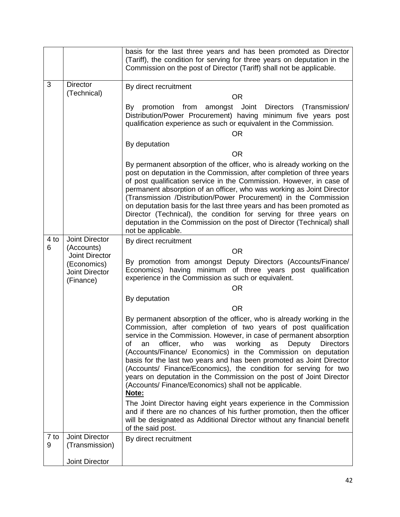|           |                                                   | basis for the last three years and has been promoted as Director<br>(Tariff), the condition for serving for three years on deputation in the<br>Commission on the post of Director (Tariff) shall not be applicable.                                                                                                                                                                                                                                                                                                                                                                                                                                        |
|-----------|---------------------------------------------------|-------------------------------------------------------------------------------------------------------------------------------------------------------------------------------------------------------------------------------------------------------------------------------------------------------------------------------------------------------------------------------------------------------------------------------------------------------------------------------------------------------------------------------------------------------------------------------------------------------------------------------------------------------------|
| 3         | <b>Director</b>                                   | By direct recruitment                                                                                                                                                                                                                                                                                                                                                                                                                                                                                                                                                                                                                                       |
|           | (Technical)                                       | <b>OR</b>                                                                                                                                                                                                                                                                                                                                                                                                                                                                                                                                                                                                                                                   |
|           |                                                   | promotion from<br>amongst Joint<br>Directors<br>(Transmission/<br>By<br>Distribution/Power Procurement) having minimum five years post<br>qualification experience as such or equivalent in the Commission.<br><b>OR</b>                                                                                                                                                                                                                                                                                                                                                                                                                                    |
|           |                                                   | By deputation                                                                                                                                                                                                                                                                                                                                                                                                                                                                                                                                                                                                                                               |
|           |                                                   | <b>OR</b>                                                                                                                                                                                                                                                                                                                                                                                                                                                                                                                                                                                                                                                   |
|           |                                                   | By permanent absorption of the officer, who is already working on the<br>post on deputation in the Commission, after completion of three years<br>of post qualification service in the Commission. However, in case of<br>permanent absorption of an officer, who was working as Joint Director<br>(Transmission /Distribution/Power Procurement) in the Commission<br>on deputation basis for the last three years and has been promoted as<br>Director (Technical), the condition for serving for three years on<br>deputation in the Commission on the post of Director (Technical) shall<br>not be applicable.                                          |
| 4 to      | Joint Director                                    | By direct recruitment                                                                                                                                                                                                                                                                                                                                                                                                                                                                                                                                                                                                                                       |
| 6         | (Accounts)<br>Joint Director                      | <b>OR</b>                                                                                                                                                                                                                                                                                                                                                                                                                                                                                                                                                                                                                                                   |
|           | (Economics)<br><b>Joint Director</b><br>(Finance) | By promotion from amongst Deputy Directors (Accounts/Finance/<br>Economics) having minimum of three years post qualification<br>experience in the Commission as such or equivalent.<br><b>OR</b>                                                                                                                                                                                                                                                                                                                                                                                                                                                            |
|           |                                                   | By deputation                                                                                                                                                                                                                                                                                                                                                                                                                                                                                                                                                                                                                                               |
|           |                                                   | <b>OR</b>                                                                                                                                                                                                                                                                                                                                                                                                                                                                                                                                                                                                                                                   |
|           |                                                   | By permanent absorption of the officer, who is already working in the<br>Commission, after completion of two years of post qualification<br>service in the Commission. However, in case of permanent absorption<br>officer,<br>who<br>working<br>Deputy<br>οf<br>an<br>was<br><b>Directors</b><br>as<br>(Accounts/Finance/ Economics) in the Commission on deputation<br>basis for the last two years and has been promoted as Joint Director<br>(Accounts/ Finance/Economics), the condition for serving for two<br>years on deputation in the Commission on the post of Joint Director<br>(Accounts/ Finance/Economics) shall not be applicable.<br>Note: |
|           |                                                   | The Joint Director having eight years experience in the Commission<br>and if there are no chances of his further promotion, then the officer<br>will be designated as Additional Director without any financial benefit<br>of the said post.                                                                                                                                                                                                                                                                                                                                                                                                                |
| 7 to<br>9 | Joint Director<br>(Transmission)                  | By direct recruitment                                                                                                                                                                                                                                                                                                                                                                                                                                                                                                                                                                                                                                       |
|           | Joint Director                                    |                                                                                                                                                                                                                                                                                                                                                                                                                                                                                                                                                                                                                                                             |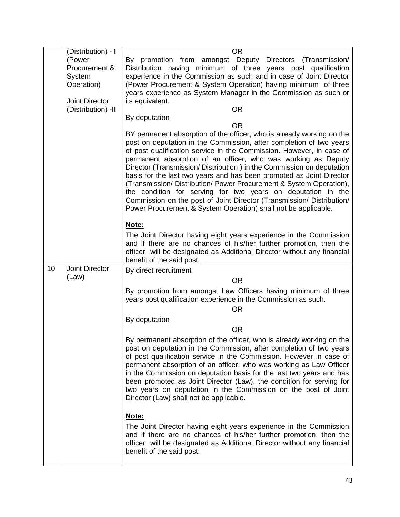|    | (Distribution) - I      | <b>OR</b>                                                                                                                              |
|----|-------------------------|----------------------------------------------------------------------------------------------------------------------------------------|
|    | (Power                  | By promotion from amongst Deputy Directors (Transmission/                                                                              |
|    | Procurement &           | Distribution having minimum of three years post qualification                                                                          |
|    | System                  | experience in the Commission as such and in case of Joint Director                                                                     |
|    | Operation)              | (Power Procurement & System Operation) having minimum of three                                                                         |
|    |                         | years experience as System Manager in the Commission as such or                                                                        |
|    | <b>Joint Director</b>   | its equivalent.                                                                                                                        |
|    | (Distribution) -II      | <b>OR</b>                                                                                                                              |
|    |                         | By deputation                                                                                                                          |
|    |                         | <b>OR</b><br>BY permanent absorption of the officer, who is already working on the                                                     |
|    |                         | post on deputation in the Commission, after completion of two years                                                                    |
|    |                         | of post qualification service in the Commission. However, in case of                                                                   |
|    |                         | permanent absorption of an officer, who was working as Deputy                                                                          |
|    |                         | Director (Transmission/ Distribution) in the Commission on deputation                                                                  |
|    |                         | basis for the last two years and has been promoted as Joint Director                                                                   |
|    |                         | (Transmission/Distribution/Power Procurement & System Operation),                                                                      |
|    |                         | the condition for serving for two years on deputation in the<br>Commission on the post of Joint Director (Transmission/ Distribution/  |
|    |                         | Power Procurement & System Operation) shall not be applicable.                                                                         |
|    |                         |                                                                                                                                        |
|    |                         | Note:                                                                                                                                  |
|    |                         | The Joint Director having eight years experience in the Commission                                                                     |
|    |                         | and if there are no chances of his/her further promotion, then the                                                                     |
|    |                         | officer will be designated as Additional Director without any financial                                                                |
|    |                         | benefit of the said post.                                                                                                              |
| 10 | Joint Director<br>(Law) | By direct recruitment                                                                                                                  |
|    |                         | <b>OR</b>                                                                                                                              |
|    |                         | By promotion from amongst Law Officers having minimum of three                                                                         |
|    |                         | years post qualification experience in the Commission as such.                                                                         |
|    |                         | <b>OR</b>                                                                                                                              |
|    |                         | By deputation                                                                                                                          |
|    |                         | <b>OR</b>                                                                                                                              |
|    |                         | By permanent absorption of the officer, who is already working on the                                                                  |
|    |                         | post on deputation in the Commission, after completion of two years                                                                    |
|    |                         | of post qualification service in the Commission. However in case of                                                                    |
|    |                         | permanent absorption of an officer, who was working as Law Officer                                                                     |
|    |                         | in the Commission on deputation basis for the last two years and has                                                                   |
|    |                         | been promoted as Joint Director (Law), the condition for serving for<br>two years on deputation in the Commission on the post of Joint |
|    |                         | Director (Law) shall not be applicable.                                                                                                |
|    |                         |                                                                                                                                        |
|    |                         | Note:                                                                                                                                  |
|    |                         | The Joint Director having eight years experience in the Commission                                                                     |
|    |                         | and if there are no chances of his/her further promotion, then the                                                                     |
|    |                         | officer will be designated as Additional Director without any financial                                                                |
|    |                         | benefit of the said post.                                                                                                              |
|    |                         |                                                                                                                                        |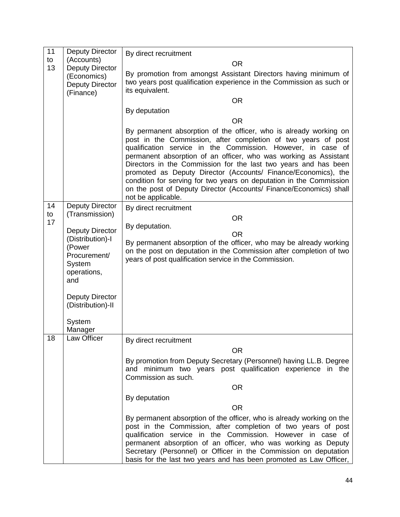| 11       | <b>Deputy Director</b>                                                       | By direct recruitment                                                                                                                                                                                                                                                                                                                                                                                                                                                                                                                                                          |
|----------|------------------------------------------------------------------------------|--------------------------------------------------------------------------------------------------------------------------------------------------------------------------------------------------------------------------------------------------------------------------------------------------------------------------------------------------------------------------------------------------------------------------------------------------------------------------------------------------------------------------------------------------------------------------------|
| to       | (Accounts)                                                                   | <b>OR</b>                                                                                                                                                                                                                                                                                                                                                                                                                                                                                                                                                                      |
| 13       | <b>Deputy Director</b><br>(Economics)<br><b>Deputy Director</b><br>(Finance) | By promotion from amongst Assistant Directors having minimum of<br>two years post qualification experience in the Commission as such or<br>its equivalent.                                                                                                                                                                                                                                                                                                                                                                                                                     |
|          |                                                                              | <b>OR</b>                                                                                                                                                                                                                                                                                                                                                                                                                                                                                                                                                                      |
|          |                                                                              | By deputation                                                                                                                                                                                                                                                                                                                                                                                                                                                                                                                                                                  |
|          |                                                                              | <b>OR</b>                                                                                                                                                                                                                                                                                                                                                                                                                                                                                                                                                                      |
|          |                                                                              | By permanent absorption of the officer, who is already working on<br>post in the Commission, after completion of two years of post<br>qualification service in the Commission. However, in case of<br>permanent absorption of an officer, who was working as Assistant<br>Directors in the Commission for the last two years and has been<br>promoted as Deputy Director (Accounts/ Finance/Economics), the<br>condition for serving for two years on deputation in the Commission<br>on the post of Deputy Director (Accounts/ Finance/Economics) shall<br>not be applicable. |
| 14       | <b>Deputy Director</b>                                                       | By direct recruitment                                                                                                                                                                                                                                                                                                                                                                                                                                                                                                                                                          |
| to<br>17 | (Transmission)                                                               | <b>OR</b>                                                                                                                                                                                                                                                                                                                                                                                                                                                                                                                                                                      |
|          | <b>Deputy Director</b>                                                       | By deputation.                                                                                                                                                                                                                                                                                                                                                                                                                                                                                                                                                                 |
|          | (Distribution)-I<br>(Power<br>Procurement/<br>System<br>operations,<br>and   | <b>OR</b><br>By permanent absorption of the officer, who may be already working<br>on the post on deputation in the Commission after completion of two<br>years of post qualification service in the Commission.                                                                                                                                                                                                                                                                                                                                                               |
|          | <b>Deputy Director</b><br>(Distribution)-II                                  |                                                                                                                                                                                                                                                                                                                                                                                                                                                                                                                                                                                |
|          | System<br>Manager                                                            |                                                                                                                                                                                                                                                                                                                                                                                                                                                                                                                                                                                |
| 18       | Law Officer                                                                  | By direct recruitment                                                                                                                                                                                                                                                                                                                                                                                                                                                                                                                                                          |
|          |                                                                              | <b>OR</b>                                                                                                                                                                                                                                                                                                                                                                                                                                                                                                                                                                      |
|          |                                                                              | By promotion from Deputy Secretary (Personnel) having LL.B. Degree<br>and minimum two years post qualification experience in the<br>Commission as such.                                                                                                                                                                                                                                                                                                                                                                                                                        |
|          |                                                                              | <b>OR</b>                                                                                                                                                                                                                                                                                                                                                                                                                                                                                                                                                                      |
|          |                                                                              | By deputation                                                                                                                                                                                                                                                                                                                                                                                                                                                                                                                                                                  |
|          |                                                                              | <b>OR</b>                                                                                                                                                                                                                                                                                                                                                                                                                                                                                                                                                                      |
|          |                                                                              | By permanent absorption of the officer, who is already working on the<br>post in the Commission, after completion of two years of post<br>qualification service in the Commission. However in case of<br>permanent absorption of an officer, who was working as Deputy<br>Secretary (Personnel) or Officer in the Commission on deputation<br>basis for the last two years and has been promoted as Law Officer,                                                                                                                                                               |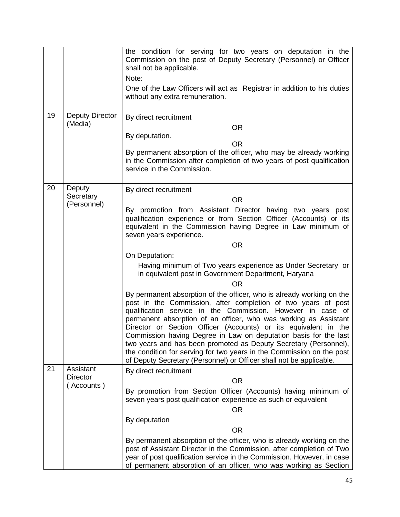|    |                                   | the condition for serving for two years on deputation in the<br>Commission on the post of Deputy Secretary (Personnel) or Officer<br>shall not be applicable.<br>Note:<br>One of the Law Officers will act as Registrar in addition to his duties<br>without any extra remuneration.                                                                                                                                                                                                                                                                                                                                                 |
|----|-----------------------------------|--------------------------------------------------------------------------------------------------------------------------------------------------------------------------------------------------------------------------------------------------------------------------------------------------------------------------------------------------------------------------------------------------------------------------------------------------------------------------------------------------------------------------------------------------------------------------------------------------------------------------------------|
| 19 | <b>Deputy Director</b><br>(Media) | By direct recruitment<br><b>OR</b><br>By deputation.<br><b>OR</b><br>By permanent absorption of the officer, who may be already working                                                                                                                                                                                                                                                                                                                                                                                                                                                                                              |
|    |                                   | in the Commission after completion of two years of post qualification<br>service in the Commission.                                                                                                                                                                                                                                                                                                                                                                                                                                                                                                                                  |
| 20 | Deputy                            | By direct recruitment                                                                                                                                                                                                                                                                                                                                                                                                                                                                                                                                                                                                                |
|    | Secretary<br>(Personnel)          | <b>OR</b>                                                                                                                                                                                                                                                                                                                                                                                                                                                                                                                                                                                                                            |
|    |                                   | By promotion from Assistant Director having two years post<br>qualification experience or from Section Officer (Accounts) or its<br>equivalent in the Commission having Degree in Law minimum of<br>seven years experience.                                                                                                                                                                                                                                                                                                                                                                                                          |
|    |                                   | <b>OR</b>                                                                                                                                                                                                                                                                                                                                                                                                                                                                                                                                                                                                                            |
|    |                                   | On Deputation:                                                                                                                                                                                                                                                                                                                                                                                                                                                                                                                                                                                                                       |
|    |                                   | Having minimum of Two years experience as Under Secretary or<br>in equivalent post in Government Department, Haryana<br><b>OR</b>                                                                                                                                                                                                                                                                                                                                                                                                                                                                                                    |
|    |                                   | By permanent absorption of the officer, who is already working on the<br>post in the Commission, after completion of two years of post<br>qualification service in the Commission. However in case of<br>permanent absorption of an officer, who was working as Assistant<br>Director or Section Officer (Accounts) or its equivalent in the<br>Commission having Degree in Law on deputation basis for the last<br>two years and has been promoted as Deputy Secretary (Personnel),<br>the condition for serving for two years in the Commission on the post<br>of Deputy Secretary (Personnel) or Officer shall not be applicable. |
| 21 | Assistant<br><b>Director</b>      | By direct recruitment                                                                                                                                                                                                                                                                                                                                                                                                                                                                                                                                                                                                                |
|    | (Accounts)                        | <b>OR</b>                                                                                                                                                                                                                                                                                                                                                                                                                                                                                                                                                                                                                            |
|    |                                   | By promotion from Section Officer (Accounts) having minimum of<br>seven years post qualification experience as such or equivalent                                                                                                                                                                                                                                                                                                                                                                                                                                                                                                    |
|    |                                   | <b>OR</b>                                                                                                                                                                                                                                                                                                                                                                                                                                                                                                                                                                                                                            |
|    |                                   | By deputation                                                                                                                                                                                                                                                                                                                                                                                                                                                                                                                                                                                                                        |
|    |                                   | <b>OR</b>                                                                                                                                                                                                                                                                                                                                                                                                                                                                                                                                                                                                                            |
|    |                                   | By permanent absorption of the officer, who is already working on the<br>post of Assistant Director in the Commission, after completion of Two<br>year of post qualification service in the Commission. However, in case<br>of permanent absorption of an officer, who was working as Section                                                                                                                                                                                                                                                                                                                                        |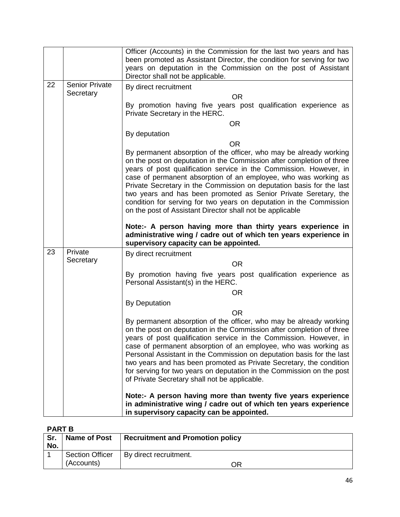|    |                       | Officer (Accounts) in the Commission for the last two years and has<br>been promoted as Assistant Director, the condition for serving for two<br>years on deputation in the Commission on the post of Assistant<br>Director shall not be applicable.                                                                                                                                                                                                                                                                                                                |
|----|-----------------------|---------------------------------------------------------------------------------------------------------------------------------------------------------------------------------------------------------------------------------------------------------------------------------------------------------------------------------------------------------------------------------------------------------------------------------------------------------------------------------------------------------------------------------------------------------------------|
| 22 | <b>Senior Private</b> | By direct recruitment                                                                                                                                                                                                                                                                                                                                                                                                                                                                                                                                               |
|    | Secretary             | <b>OR</b>                                                                                                                                                                                                                                                                                                                                                                                                                                                                                                                                                           |
|    |                       | By promotion having five years post qualification experience as<br>Private Secretary in the HERC.                                                                                                                                                                                                                                                                                                                                                                                                                                                                   |
|    |                       | <b>OR</b>                                                                                                                                                                                                                                                                                                                                                                                                                                                                                                                                                           |
|    |                       | By deputation                                                                                                                                                                                                                                                                                                                                                                                                                                                                                                                                                       |
|    |                       | <b>OR</b>                                                                                                                                                                                                                                                                                                                                                                                                                                                                                                                                                           |
|    |                       | By permanent absorption of the officer, who may be already working<br>on the post on deputation in the Commission after completion of three<br>years of post qualification service in the Commission. However, in<br>case of permanent absorption of an employee, who was working as<br>Private Secretary in the Commission on deputation basis for the last<br>two years and has been promoted as Senior Private Seretary, the<br>condition for serving for two years on deputation in the Commission<br>on the post of Assistant Director shall not be applicable |
|    |                       | Note:- A person having more than thirty years experience in<br>administrative wing / cadre out of which ten years experience in<br>supervisory capacity can be appointed.                                                                                                                                                                                                                                                                                                                                                                                           |
| 23 | Private               | By direct recruitment                                                                                                                                                                                                                                                                                                                                                                                                                                                                                                                                               |
|    | Secretary             | <b>OR</b>                                                                                                                                                                                                                                                                                                                                                                                                                                                                                                                                                           |
|    |                       | By promotion having five years post qualification experience as<br>Personal Assistant(s) in the HERC.                                                                                                                                                                                                                                                                                                                                                                                                                                                               |
|    |                       | <b>OR</b>                                                                                                                                                                                                                                                                                                                                                                                                                                                                                                                                                           |
|    |                       | <b>By Deputation</b>                                                                                                                                                                                                                                                                                                                                                                                                                                                                                                                                                |
|    |                       | <b>OR</b>                                                                                                                                                                                                                                                                                                                                                                                                                                                                                                                                                           |
|    |                       | By permanent absorption of the officer, who may be already working<br>on the post on deputation in the Commission after completion of three<br>years of post qualification service in the Commission. However, in<br>case of permanent absorption of an employee, who was working as<br>Personal Assistant in the Commission on deputation basis for the last<br>two years and has been promoted as Private Secretary, the condition<br>for serving for two years on deputation in the Commission on the post<br>of Private Secretary shall not be applicable.      |
|    |                       | Note:- A person having more than twenty five years experience<br>in administrative wing / cadre out of which ten years experience<br>in supervisory capacity can be appointed.                                                                                                                                                                                                                                                                                                                                                                                      |

# **PART B**

| Sr.<br>No. | <b>Name of Post</b>                  | <b>Recruitment and Promotion policy</b> |
|------------|--------------------------------------|-----------------------------------------|
|            | <b>Section Officer</b><br>(Accounts) | By direct recruitment.<br>ΟR            |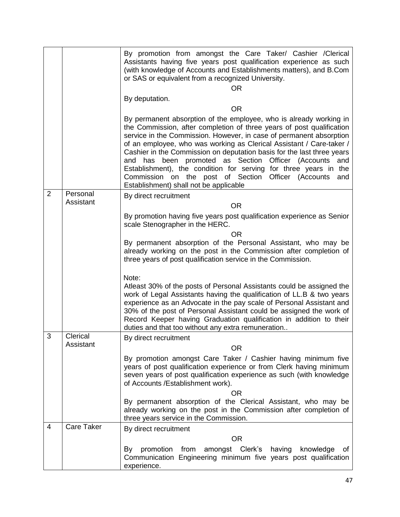|   |                       | By promotion from amongst the Care Taker/ Cashier / Clerical<br>Assistants having five years post qualification experience as such<br>(with knowledge of Accounts and Establishments matters), and B.Com<br>or SAS or equivalent from a recognized University.<br><b>OR</b>                                                                                                                                                                                                                                                                                                                                         |
|---|-----------------------|---------------------------------------------------------------------------------------------------------------------------------------------------------------------------------------------------------------------------------------------------------------------------------------------------------------------------------------------------------------------------------------------------------------------------------------------------------------------------------------------------------------------------------------------------------------------------------------------------------------------|
|   |                       | By deputation.                                                                                                                                                                                                                                                                                                                                                                                                                                                                                                                                                                                                      |
|   |                       | <b>OR</b>                                                                                                                                                                                                                                                                                                                                                                                                                                                                                                                                                                                                           |
|   |                       | By permanent absorption of the employee, who is already working in<br>the Commission, after completion of three years of post qualification<br>service in the Commission. However, in case of permanent absorption<br>of an employee, who was working as Clerical Assistant / Care-taker /<br>Cashier in the Commission on deputation basis for the last three years<br>been promoted as Section<br>Officer (Accounts<br>and has<br>and<br>Establishment), the condition for serving for three years in the<br>Commission on the post of Section Officer (Accounts<br>and<br>Establishment) shall not be applicable |
| 2 | Personal<br>Assistant | By direct recruitment<br><b>OR</b>                                                                                                                                                                                                                                                                                                                                                                                                                                                                                                                                                                                  |
|   |                       | By promotion having five years post qualification experience as Senior<br>scale Stenographer in the HERC.                                                                                                                                                                                                                                                                                                                                                                                                                                                                                                           |
|   |                       | <b>OR</b><br>By permanent absorption of the Personal Assistant, who may be<br>already working on the post in the Commission after completion of<br>three years of post qualification service in the Commission.                                                                                                                                                                                                                                                                                                                                                                                                     |
|   |                       | Note:<br>Atleast 30% of the posts of Personal Assistants could be assigned the<br>work of Legal Assistants having the qualification of LL.B & two years<br>experience as an Advocate in the pay scale of Personal Assistant and<br>30% of the post of Personal Assistant could be assigned the work of<br>Record Keeper having Graduation qualification in addition to their<br>duties and that too without any extra remuneration                                                                                                                                                                                  |
| 3 | Clerical              | By direct recruitment                                                                                                                                                                                                                                                                                                                                                                                                                                                                                                                                                                                               |
|   | Assistant             | <b>OR</b>                                                                                                                                                                                                                                                                                                                                                                                                                                                                                                                                                                                                           |
|   |                       | By promotion amongst Care Taker / Cashier having minimum five<br>years of post qualification experience or from Clerk having minimum<br>seven years of post qualification experience as such (with knowledge<br>of Accounts /Establishment work).                                                                                                                                                                                                                                                                                                                                                                   |
|   |                       | ΟR<br>By permanent absorption of the Clerical Assistant, who may be<br>already working on the post in the Commission after completion of<br>three years service in the Commission.                                                                                                                                                                                                                                                                                                                                                                                                                                  |
| 4 | <b>Care Taker</b>     | By direct recruitment                                                                                                                                                                                                                                                                                                                                                                                                                                                                                                                                                                                               |
|   |                       | <b>OR</b>                                                                                                                                                                                                                                                                                                                                                                                                                                                                                                                                                                                                           |
|   |                       | amongst Clerk's<br>By<br>promotion from<br>having<br>knowledge<br>of<br>Communication Engineering minimum five years post qualification<br>experience.                                                                                                                                                                                                                                                                                                                                                                                                                                                              |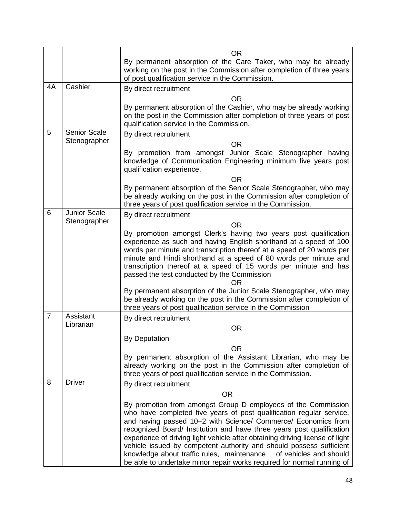|                |                     | <b>OR</b>                                                                                                                                                                                                                                                                                                                                                                                                                                                                                                                                                                                |
|----------------|---------------------|------------------------------------------------------------------------------------------------------------------------------------------------------------------------------------------------------------------------------------------------------------------------------------------------------------------------------------------------------------------------------------------------------------------------------------------------------------------------------------------------------------------------------------------------------------------------------------------|
|                |                     | By permanent absorption of the Care Taker, who may be already<br>working on the post in the Commission after completion of three years<br>of post qualification service in the Commission.                                                                                                                                                                                                                                                                                                                                                                                               |
| 4A             | Cashier             | By direct recruitment                                                                                                                                                                                                                                                                                                                                                                                                                                                                                                                                                                    |
|                |                     | <b>OR</b>                                                                                                                                                                                                                                                                                                                                                                                                                                                                                                                                                                                |
|                |                     | By permanent absorption of the Cashier, who may be already working<br>on the post in the Commission after completion of three years of post<br>qualification service in the Commission.                                                                                                                                                                                                                                                                                                                                                                                                  |
| 5              | <b>Senior Scale</b> | By direct recruitment                                                                                                                                                                                                                                                                                                                                                                                                                                                                                                                                                                    |
|                | Stenographer        | <b>OR</b>                                                                                                                                                                                                                                                                                                                                                                                                                                                                                                                                                                                |
|                |                     | By promotion from amongst Junior Scale Stenographer having<br>knowledge of Communication Engineering minimum five years post<br>qualification experience.                                                                                                                                                                                                                                                                                                                                                                                                                                |
|                |                     | <b>OR</b>                                                                                                                                                                                                                                                                                                                                                                                                                                                                                                                                                                                |
|                |                     | By permanent absorption of the Senior Scale Stenographer, who may<br>be already working on the post in the Commission after completion of<br>three years of post qualification service in the Commission.                                                                                                                                                                                                                                                                                                                                                                                |
| 6              | <b>Junior Scale</b> | By direct recruitment                                                                                                                                                                                                                                                                                                                                                                                                                                                                                                                                                                    |
|                | Stenographer        | <b>OR</b>                                                                                                                                                                                                                                                                                                                                                                                                                                                                                                                                                                                |
|                |                     | By promotion amongst Clerk's having two years post qualification<br>experience as such and having English shorthand at a speed of 100<br>words per minute and transcription thereof at a speed of 20 words per<br>minute and Hindi shorthand at a speed of 80 words per minute and<br>transcription thereof at a speed of 15 words per minute and has<br>passed the test conducted by the Commission<br>OR                                                                                                                                                                               |
|                |                     | By permanent absorption of the Junior Scale Stenographer, who may<br>be already working on the post in the Commission after completion of<br>three years of post qualification service in the Commission                                                                                                                                                                                                                                                                                                                                                                                 |
| $\overline{7}$ | Assistant           | By direct recruitment                                                                                                                                                                                                                                                                                                                                                                                                                                                                                                                                                                    |
|                | Librarian           | <b>OR</b>                                                                                                                                                                                                                                                                                                                                                                                                                                                                                                                                                                                |
|                |                     | <b>By Deputation</b>                                                                                                                                                                                                                                                                                                                                                                                                                                                                                                                                                                     |
|                |                     | <b>OR</b>                                                                                                                                                                                                                                                                                                                                                                                                                                                                                                                                                                                |
|                |                     | By permanent absorption of the Assistant Librarian, who may be<br>already working on the post in the Commission after completion of<br>three years of post qualification service in the Commission.                                                                                                                                                                                                                                                                                                                                                                                      |
| 8              | <b>Driver</b>       | By direct recruitment                                                                                                                                                                                                                                                                                                                                                                                                                                                                                                                                                                    |
|                |                     | <b>OR</b>                                                                                                                                                                                                                                                                                                                                                                                                                                                                                                                                                                                |
|                |                     | By promotion from amongst Group D employees of the Commission<br>who have completed five years of post qualification regular service,<br>and having passed 10+2 with Science/ Commerce/ Economics from<br>recognized Board/ Institution and have three years post qualification<br>experience of driving light vehicle after obtaining driving license of light<br>vehicle issued by competent authority and should possess sufficient<br>knowledge about traffic rules, maintenance<br>of vehicles and should<br>be able to undertake minor repair works required for normal running of |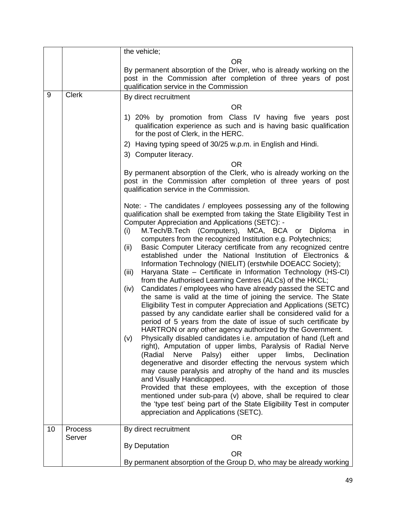|    |                   | the vehicle;                                                                                                                                                                                                                                                                                                                                                                                                                                                                                                                                                                                                                                                                                                                                                                                                                                                                                                                                                                                                                                                                                                                                                                                                                                                                                                                                                                                                                                                                                                                                                                                                                                                                                                          |
|----|-------------------|-----------------------------------------------------------------------------------------------------------------------------------------------------------------------------------------------------------------------------------------------------------------------------------------------------------------------------------------------------------------------------------------------------------------------------------------------------------------------------------------------------------------------------------------------------------------------------------------------------------------------------------------------------------------------------------------------------------------------------------------------------------------------------------------------------------------------------------------------------------------------------------------------------------------------------------------------------------------------------------------------------------------------------------------------------------------------------------------------------------------------------------------------------------------------------------------------------------------------------------------------------------------------------------------------------------------------------------------------------------------------------------------------------------------------------------------------------------------------------------------------------------------------------------------------------------------------------------------------------------------------------------------------------------------------------------------------------------------------|
|    |                   | <b>OR</b>                                                                                                                                                                                                                                                                                                                                                                                                                                                                                                                                                                                                                                                                                                                                                                                                                                                                                                                                                                                                                                                                                                                                                                                                                                                                                                                                                                                                                                                                                                                                                                                                                                                                                                             |
|    |                   | By permanent absorption of the Driver, who is already working on the<br>post in the Commission after completion of three years of post<br>qualification service in the Commission                                                                                                                                                                                                                                                                                                                                                                                                                                                                                                                                                                                                                                                                                                                                                                                                                                                                                                                                                                                                                                                                                                                                                                                                                                                                                                                                                                                                                                                                                                                                     |
| 9  | <b>Clerk</b>      | By direct recruitment                                                                                                                                                                                                                                                                                                                                                                                                                                                                                                                                                                                                                                                                                                                                                                                                                                                                                                                                                                                                                                                                                                                                                                                                                                                                                                                                                                                                                                                                                                                                                                                                                                                                                                 |
|    |                   | <b>OR</b>                                                                                                                                                                                                                                                                                                                                                                                                                                                                                                                                                                                                                                                                                                                                                                                                                                                                                                                                                                                                                                                                                                                                                                                                                                                                                                                                                                                                                                                                                                                                                                                                                                                                                                             |
|    |                   | 1) 20% by promotion from Class IV having five years post<br>qualification experience as such and is having basic qualification<br>for the post of Clerk, in the HERC.                                                                                                                                                                                                                                                                                                                                                                                                                                                                                                                                                                                                                                                                                                                                                                                                                                                                                                                                                                                                                                                                                                                                                                                                                                                                                                                                                                                                                                                                                                                                                 |
|    |                   | 2) Having typing speed of 30/25 w.p.m. in English and Hindi.                                                                                                                                                                                                                                                                                                                                                                                                                                                                                                                                                                                                                                                                                                                                                                                                                                                                                                                                                                                                                                                                                                                                                                                                                                                                                                                                                                                                                                                                                                                                                                                                                                                          |
|    |                   | 3) Computer literacy.                                                                                                                                                                                                                                                                                                                                                                                                                                                                                                                                                                                                                                                                                                                                                                                                                                                                                                                                                                                                                                                                                                                                                                                                                                                                                                                                                                                                                                                                                                                                                                                                                                                                                                 |
|    |                   | <b>OR</b>                                                                                                                                                                                                                                                                                                                                                                                                                                                                                                                                                                                                                                                                                                                                                                                                                                                                                                                                                                                                                                                                                                                                                                                                                                                                                                                                                                                                                                                                                                                                                                                                                                                                                                             |
|    |                   | By permanent absorption of the Clerk, who is already working on the<br>post in the Commission after completion of three years of post<br>qualification service in the Commission.                                                                                                                                                                                                                                                                                                                                                                                                                                                                                                                                                                                                                                                                                                                                                                                                                                                                                                                                                                                                                                                                                                                                                                                                                                                                                                                                                                                                                                                                                                                                     |
|    |                   | Note: - The candidates / employees possessing any of the following<br>qualification shall be exempted from taking the State Eligibility Test in<br>Computer Appreciation and Applications (SETC): -<br>M.Tech/B.Tech (Computers), MCA, BCA or<br>(i)<br>Diploma<br>in<br>computers from the recognized Institution e.g. Polytechnics;<br>Basic Computer Literacy certificate from any recognized centre<br>(ii)<br>established under the National Institution of Electronics &<br>Information Technology (NIELIT) (erstwhile DOEACC Society);<br>Haryana State – Certificate in Information Technology (HS-CI)<br>(iii)<br>from the Authorised Learning Centres (ALCs) of the HKCL;<br>Candidates / employees who have already passed the SETC and<br>(iv)<br>the same is valid at the time of joining the service. The State<br>Eligibility Test in computer Appreciation and Applications (SETC)<br>passed by any candidate earlier shall be considered valid for a<br>period of 5 years from the date of issue of such certificate by<br>HARTRON or any other agency authorized by the Government.<br>Physically disabled candidates i.e. amputation of hand (Left and<br>(v)<br>right), Amputation of upper limbs, Paralysis of Radial Nerve<br>(Radial Nerve Palsy) either upper limbs, Declination<br>degenerative and disorder effecting the nervous system which<br>may cause paralysis and atrophy of the hand and its muscles<br>and Visually Handicapped.<br>Provided that these employees, with the exception of those<br>mentioned under sub-para (v) above, shall be required to clear<br>the 'type test' being part of the State Eligibility Test in computer<br>appreciation and Applications (SETC). |
| 10 | Process<br>Server | By direct recruitment<br><b>OR</b>                                                                                                                                                                                                                                                                                                                                                                                                                                                                                                                                                                                                                                                                                                                                                                                                                                                                                                                                                                                                                                                                                                                                                                                                                                                                                                                                                                                                                                                                                                                                                                                                                                                                                    |
|    |                   | <b>By Deputation</b>                                                                                                                                                                                                                                                                                                                                                                                                                                                                                                                                                                                                                                                                                                                                                                                                                                                                                                                                                                                                                                                                                                                                                                                                                                                                                                                                                                                                                                                                                                                                                                                                                                                                                                  |
|    |                   | <b>OR</b>                                                                                                                                                                                                                                                                                                                                                                                                                                                                                                                                                                                                                                                                                                                                                                                                                                                                                                                                                                                                                                                                                                                                                                                                                                                                                                                                                                                                                                                                                                                                                                                                                                                                                                             |
|    |                   | By permanent absorption of the Group D, who may be already working                                                                                                                                                                                                                                                                                                                                                                                                                                                                                                                                                                                                                                                                                                                                                                                                                                                                                                                                                                                                                                                                                                                                                                                                                                                                                                                                                                                                                                                                                                                                                                                                                                                    |